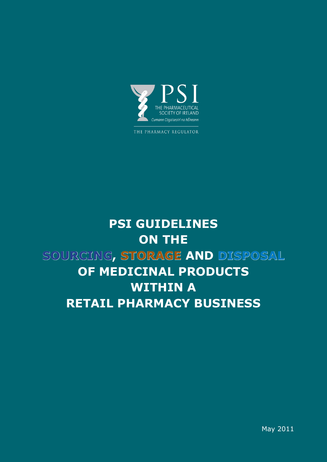

THE PHARMACY REGULATOR

# **PSI GUIDELINES ON THE sourcing, storage and disposal OF MEDICINAL PRODUCTS within a retail pharmacy business**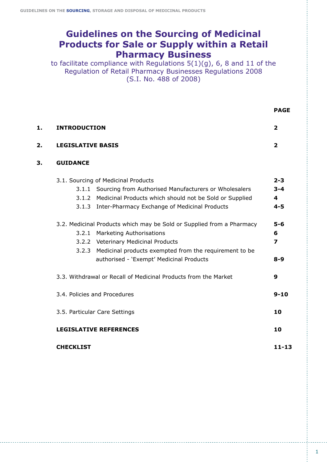# **Guidelines on the Sourcing of Medicinal Products for Sale or Supply within a Retail Pharmacy Business**

to facilitate compliance with Regulations 5(1)(g), 6, 8 and 11 of the Regulation of Retail Pharmacy Businesses Regulations 2008 (S.I. No. 488 of 2008)

|    |                                                                                                                                                                                                                                                            | <b>PAGE</b>                                              |
|----|------------------------------------------------------------------------------------------------------------------------------------------------------------------------------------------------------------------------------------------------------------|----------------------------------------------------------|
| 1. | <b>INTRODUCTION</b>                                                                                                                                                                                                                                        | $\overline{\mathbf{2}}$                                  |
| 2. | <b>LEGISLATIVE BASIS</b>                                                                                                                                                                                                                                   | $\overline{2}$                                           |
| 3. | <b>GUIDANCE</b>                                                                                                                                                                                                                                            |                                                          |
|    | 3.1. Sourcing of Medicinal Products<br>3.1.1 Sourcing from Authorised Manufacturers or Wholesalers<br>3.1.2 Medicinal Products which should not be Sold or Supplied<br>3.1.3 Inter-Pharmacy Exchange of Medicinal Products                                 | $2 - 3$<br>$3 - 4$<br>$\overline{\mathbf{4}}$<br>$4 - 5$ |
|    | 3.2. Medicinal Products which may be Sold or Supplied from a Pharmacy<br>3.2.1 Marketing Authorisations<br>3.2.2 Veterinary Medicinal Products<br>3.2.3 Medicinal products exempted from the requirement to be<br>authorised - 'Exempt' Medicinal Products | $5 - 6$<br>6<br>$\overline{\mathbf{z}}$<br>$8 - 9$       |
|    | 3.3. Withdrawal or Recall of Medicinal Products from the Market                                                                                                                                                                                            | 9                                                        |
|    | 3.4. Policies and Procedures                                                                                                                                                                                                                               | $9 - 10$                                                 |
|    | 3.5. Particular Care Settings                                                                                                                                                                                                                              | 10                                                       |
|    | <b>LEGISLATIVE REFERENCES</b>                                                                                                                                                                                                                              | 10                                                       |
|    | <b>CHECKLIST</b>                                                                                                                                                                                                                                           | $11 - 13$                                                |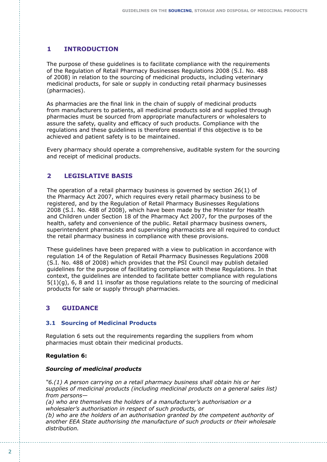# **1 INTRODUCTION**

The purpose of these guidelines is to facilitate compliance with the requirements of the Regulation of Retail Pharmacy Businesses Regulations 2008 (S.I. No. 488 of 2008) in relation to the sourcing of medicinal products, including veterinary medicinal products, for sale or supply in conducting retail pharmacy businesses (pharmacies).

As pharmacies are the final link in the chain of supply of medicinal products from manufacturers to patients, all medicinal products sold and supplied through pharmacies must be sourced from appropriate manufacturers or wholesalers to assure the safety, quality and efficacy of such products. Compliance with the regulations and these guidelines is therefore essential if this objective is to be achieved and patient safety is to be maintained.

Every pharmacy should operate a comprehensive, auditable system for the sourcing and receipt of medicinal products.

#### **LEGISLATIVE BASIS 2**

The operation of a retail pharmacy business is governed by section 26(1) of the Pharmacy Act 2007, which requires every retail pharmacy business to be registered, and by the Regulation of Retail Pharmacy Businesses Regulations 2008 (S.I. No. 488 of 2008), which have been made by the Minister for Health and Children under Section 18 of the Pharmacy Act 2007, for the purposes of the health, safety and convenience of the public. Retail pharmacy business owners, superintendent pharmacists and supervising pharmacists are all required to conduct the retail pharmacy business in compliance with these provisions.

These guidelines have been prepared with a view to publication in accordance with regulation 14 of the Regulation of Retail Pharmacy Businesses Regulations 2008 (S.I. No. 488 of 2008) which provides that the PSI Council may publish detailed guidelines for the purpose of facilitating compliance with these Regulations. In that context, the guidelines are intended to facilitate better compliance with regulations  $5(1)(q)$ , 6, 8 and 11 insofar as those regulations relate to the sourcing of medicinal products for sale or supply through pharmacies.

# **3 GUIDANCE**

# **3.1 Sourcing of Medicinal Products**

Regulation 6 sets out the requirements regarding the suppliers from whom pharmacies must obtain their medicinal products.

# **Regulation 6:**

#### *Sourcing of medicinal products*

*"6.(1) A person carrying on a retail pharmacy business shall obtain his or her supplies of medicinal products (including medicinal products on a general sales list) from persons—*

*(a) who are themselves the holders of a manufacturer's authorisation or a wholesaler's authorisation in respect of such products, or (b) who are the holders of an authorisation granted by the competent authority of another EEA State authorising the manufacture of such products or their wholesale distribution.*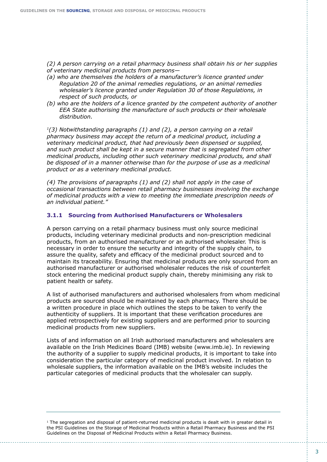*(2) A person carrying on a retail pharmacy business shall obtain his or her supplies of veterinary medicinal products from persons—*

- *(a) who are themselves the holders of a manufacturer's licence granted under Regulation 20 of the animal remedies regulations, or an animal remedies wholesaler's licence granted under Regulation 30 of those Regulations, in respect of such products, or*
- *(b) who are the holders of a licence granted by the competent authority of another EEA State authorising the manufacture of such products or their wholesale distribution.*

*1(3) Notwithstanding paragraphs (1) and (2), a person carrying on a retail pharmacy business may accept the return of a medicinal product, including a veterinary medicinal product, that had previously been dispensed or supplied,*  and such product shall be kept in a secure manner that is segregated from other *medicinal products, including other such veterinary medicinal products, and shall*  be disposed of in a manner otherwise than for the purpose of use as a medicinal *product or as a veterinary medicinal product.* 

*(4) The provisions of paragraphs (1) and (2) shall not apply in the case of occasional transactions between retail pharmacy businesses involving the exchange of medicinal products with a view to meeting the immediate prescription needs of an individual patient."*

#### **3.1.1 Sourcing from Authorised Manufacturers or Wholesalers**

A person carrying on a retail pharmacy business must only source medicinal products, including veterinary medicinal products and non-prescription medicinal products, from an authorised manufacturer or an authorised wholesaler. This is necessary in order to ensure the security and integrity of the supply chain, to assure the quality, safety and efficacy of the medicinal product sourced and to maintain its traceability. Ensuring that medicinal products are only sourced from an authorised manufacturer or authorised wholesaler reduces the risk of counterfeit stock entering the medicinal product supply chain, thereby minimising any risk to patient health or safety.

A list of authorised manufacturers and authorised wholesalers from whom medicinal products are sourced should be maintained by each pharmacy. There should be a written procedure in place which outlines the steps to be taken to verify the authenticity of suppliers. It is important that these verification procedures are applied retrospectively for existing suppliers and are performed prior to sourcing medicinal products from new suppliers.

Lists of and information on all Irish authorised manufacturers and wholesalers are available on the Irish Medicines Board (IMB) website (www.imb.ie). In reviewing the authority of a supplier to supply medicinal products, it is important to take into consideration the particular category of medicinal product involved. In relation to wholesale suppliers, the information available on the IMB's website includes the particular categories of medicinal products that the wholesaler can supply.

 $1$  The segregation and disposal of patient-returned medicinal products is dealt with in greater detail in the PSI Guidelines on the Storage of Medicinal Products within a Retail Pharmacy Business and the PSI Guidelines on the Disposal of Medicinal Products within a Retail Pharmacy Business.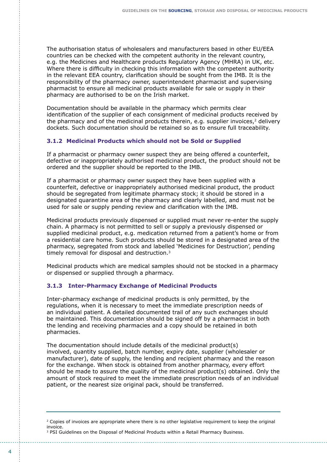The authorisation status of wholesalers and manufacturers based in other EU/EEA countries can be checked with the competent authority in the relevant country, e.g. the Medicines and Healthcare products Regulatory Agency (MHRA) in UK, etc. Where there is difficulty in checking this information with the competent authority in the relevant EEA country, clarification should be sought from the IMB. It is the responsibility of the pharmacy owner, superintendent pharmacist and supervising pharmacist to ensure all medicinal products available for sale or supply in their pharmacy are authorised to be on the Irish market.

Documentation should be available in the pharmacy which permits clear identification of the supplier of each consignment of medicinal products received by the pharmacy and of the medicinal products therein, e.g. supplier invoices, $2$  delivery dockets. Such documentation should be retained so as to ensure full traceability.

# **3.1.2 Medicinal Products which should not be Sold or Supplied**

If a pharmacist or pharmacy owner suspect they are being offered a counterfeit, defective or inappropriately authorised medicinal product, the product should not be ordered and the supplier should be reported to the IMB.

If a pharmacist or pharmacy owner suspect they have been supplied with a counterfeit, defective or inappropriately authorised medicinal product, the product should be segregated from legitimate pharmacy stock; it should be stored in a designated quarantine area of the pharmacy and clearly labelled, and must not be used for sale or supply pending review and clarification with the IMB.

Medicinal products previously dispensed or supplied must never re-enter the supply chain. A pharmacy is not permitted to sell or supply a previously dispensed or supplied medicinal product, e.g. medication returned from a patient's home or from a residential care home. Such products should be stored in a designated area of the pharmacy, segregated from stock and labelled 'Medicines for Destruction', pending timely removal for disposal and destruction.<sup>3</sup>

Medicinal products which are medical samples should not be stocked in a pharmacy or dispensed or supplied through a pharmacy.

# **3.1.3 Inter-Pharmacy Exchange of Medicinal Products**

Inter-pharmacy exchange of medicinal products is only permitted, by the regulations, when it is necessary to meet the immediate prescription needs of an individual patient. A detailed documented trail of any such exchanges should be maintained. This documentation should be signed off by a pharmacist in both the lending and receiving pharmacies and a copy should be retained in both pharmacies.

The documentation should include details of the medicinal product(s) involved, quantity supplied, batch number, expiry date, supplier (wholesaler or manufacturer), date of supply, the lending and recipient pharmacy and the reason for the exchange. When stock is obtained from another pharmacy, every effort should be made to assure the quality of the medicinal product(s) obtained. Only the amount of stock required to meet the immediate prescription needs of an individual patient, or the nearest size original pack, should be transferred.

 $2$  Copies of invoices are appropriate where there is no other legislative requirement to keep the original invoice.

<sup>&</sup>lt;sup>3</sup> PSI Guidelines on the Disposal of Medicinal Products within a Retail Pharmacy Business.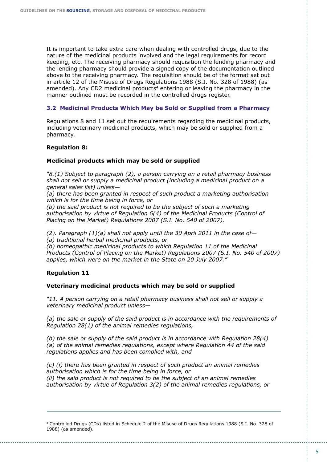It is important to take extra care when dealing with controlled drugs, due to the nature of the medicinal products involved and the legal requirements for record keeping, etc. The receiving pharmacy should requisition the lending pharmacy and the lending pharmacy should provide a signed copy of the documentation outlined above to the receiving pharmacy. The requisition should be of the format set out in article 12 of the Misuse of Drugs Regulations 1988 (S.I. No. 328 of 1988) (as amended). Any CD2 medicinal products<sup>4</sup> entering or leaving the pharmacy in the manner outlined must be recorded in the controlled drugs register.

### **3.2 Medicinal Products Which May be Sold or Supplied from a Pharmacy**

Regulations 8 and 11 set out the requirements regarding the medicinal products, including veterinary medicinal products, which may be sold or supplied from a pharmacy.

#### **Regulation 8:**

#### **Medicinal products which may be sold or supplied**

*"8.(1) Subject to paragraph (2), a person carrying on a retail pharmacy business shall not sell or supply a medicinal product (including a medicinal product on a general sales list) unless—*

*(a) there has been granted in respect of such product a marketing authorisation which is for the time being in force, or*

*(b) the said product is not required to be the subject of such a marketing authorisation by virtue of Regulation 6(4) of the Medicinal Products (Control of Placing on the Market) Regulations 2007 (S.I. No. 540 of 2007).*

*(2). Paragraph (1)(a) shall not apply until the 30 April 2011 in the case of— (a) traditional herbal medicinal products, or*

*(b) homeopathic medicinal products to which Regulation 11 of the Medicinal Products (Control of Placing on the Market) Regulations 2007 (S.I. No. 540 of 2007) applies, which were on the market in the State on 20 July 2007."*

# **Regulation 11**

#### **Veterinary medicinal products which may be sold or supplied**

*"11. A person carrying on a retail pharmacy business shall not sell or supply a veterinary medicinal product unless—*

*(a) the sale or supply of the said product is in accordance with the requirements of Regulation 28(1) of the animal remedies regulations,*

*(b) the sale or supply of the said product is in accordance with Regulation 28(4) (a) of the animal remedies regulations, except where Regulation 44 of the said regulations applies and has been complied with, and*

*(c) (i) there has been granted in respect of such product an animal remedies authorisation which is for the time being in force, or (ii) the said product is not required to be the subject of an animal remedies authorisation by virtue of Regulation 3(2) of the animal remedies regulations, or*

4 Controlled Drugs (CDs) listed in Schedule 2 of the Misuse of Drugs Regulations 1988 (S.I. No. 328 of 1988) (as amended).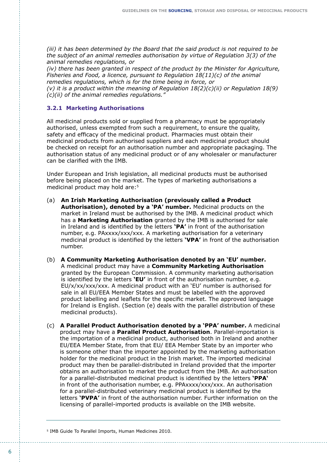*(iii) it has been determined by the Board that the said product is not required to be the subject of an animal remedies authorisation by virtue of Regulation 3(3) of the animal remedies regulations, or*

*(iv) there has been granted in respect of the product by the Minister for Agriculture, Fisheries and Food, a licence, pursuant to Regulation 18(11)(c) of the animal remedies regulations, which is for the time being in force, or*

*(v) it is a product within the meaning of Regulation 18(2)(c)(ii) or Regulation 18(9) (c)(ii) of the animal remedies regulations."*

#### **3.2.1 Marketing Authorisations**

All medicinal products sold or supplied from a pharmacy must be appropriately authorised, unless exempted from such a requirement, to ensure the quality, safety and efficacy of the medicinal product. Pharmacies must obtain their medicinal products from authorised suppliers and each medicinal product should be checked on receipt for an authorisation number and appropriate packaging. The authorisation status of any medicinal product or of any wholesaler or manufacturer can be clarified with the IMB.

Under European and Irish legislation, all medicinal products must be authorised before being placed on the market. The types of marketing authorisations a medicinal product may hold are:<sup>5</sup>

- (a) **An Irish Marketing Authorisation (previously called a Product Authorisation), denoted by a 'PA' number.** Medicinal products on the market in Ireland must be authorised by the IMB. A medicinal product which has a **Marketing Authorisation** granted by the IMB is authorised for sale in Ireland and is identified by the letters **'PA'** in front of the authorisation number, e.g. PAxxxx/xxx/xxx. A marketing authorisation for a veterinary medicinal product is identified by the letters **'VPA'** in front of the authorisation number.
- (b) **A Community Marketing Authorisation denoted by an 'EU' number.** A medicinal product may have a **Community Marketing Authorisation** granted by the European Commission. A community marketing authorisation is identified by the letters **'EU'** in front of the authorisation number, e.g. EU/x/xx/xxx/xxx. A medicinal product with an 'EU' number is authorised for sale in all EU/EEA Member States and must be labelled with the approved product labelling and leaflets for the specific market. The approved language for Ireland is English. (Section (e) deals with the parallel distribution of these medicinal products).
- (c) **A Parallel Product Authorisation denoted by a 'PPA' number.** A medicinal product may have a **Parallel Product Authorisation**. Parallel-importation is the importation of a medicinal product, authorised both in Ireland and another EU/EEA Member State, from that EU/ EEA Member State by an importer who is someone other than the importer appointed by the marketing authorisation holder for the medicinal product in the Irish market. The imported medicinal product may then be parallel-distributed in Ireland provided that the importer obtains an authorisation to market the product from the IMB. An authorisation for a parallel-distributed medicinal product is identified by the letters **'PPA'** in front of the authorisation number, e.g. PPAxxxx/xxx/xxx. An authorisation for a parallel-distributed veterinary medicinal product is identified by the letters **'PVPA'** in front of the authorisation number. Further information on the licensing of parallel-imported products is available on the IMB website.

<sup>5</sup> IMB Guide To Parallel Imports, Human Medicines 2010.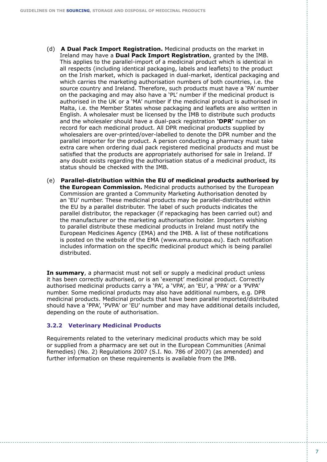- (d) **A Dual Pack Import Registration.** Medicinal products on the market in Ireland may have a **Dual Pack Import Registration**, granted by the IMB. This applies to the parallel-import of a medicinal product which is identical in all respects (including identical packaging, labels and leaflets) to the product on the Irish market, which is packaged in dual-market, identical packaging and which carries the marketing authorisation numbers of both countries, i.e. the source country and Ireland. Therefore, such products must have a 'PA' number on the packaging and may also have a 'PL' number if the medicinal product is authorised in the UK or a 'MA' number if the medicinal product is authorised in Malta, i.e. the Member States whose packaging and leaflets are also written in English. A wholesaler must be licensed by the IMB to distribute such products and the wholesaler should have a dual-pack registration **'DPR'** number on record for each medicinal product. All DPR medicinal products supplied by wholesalers are over-printed/over-labelled to denote the DPR number and the parallel importer for the product. A person conducting a pharmacy must take extra care when ordering dual pack registered medicinal products and must be satisfied that the products are appropriately authorised for sale in Ireland. If any doubt exists regarding the authorisation status of a medicinal product, its status should be checked with the IMB.
- (e) **Parallel-distribution within the EU of medicinal products authorised by the European Commission.** Medicinal products authorised by the European Commission are granted a Community Marketing Authorisation denoted by an 'EU' number. These medicinal products may be parallel-distributed within the EU by a parallel distributer. The label of such products indicates the parallel distributor, the repackager (if repackaging has been carried out) and the manufacturer or the marketing authorisation holder. Importers wishing to parallel distribute these medicinal products in Ireland must notify the European Medicines Agency (EMA) and the IMB. A list of these notifications is posted on the website of the EMA (www.ema.europa.eu). Each notification includes information on the specific medicinal product which is being parallel distributed.

**In summary**, a pharmacist must not sell or supply a medicinal product unless it has been correctly authorised, or is an 'exempt' medicinal product. Correctly authorised medicinal products carry a 'PA', a 'VPA', an 'EU', a 'PPA' or a 'PVPA' number. Some medicinal products may also have additional numbers, e.g. DPR medicinal products. Medicinal products that have been parallel imported/distributed should have a 'PPA', 'PVPA' or 'EU' number and may have additional details included, depending on the route of authorisation.

#### **3.2.2 Veterinary Medicinal Products**

Requirements related to the veterinary medicinal products which may be sold or supplied from a pharmacy are set out in the European Communities (Animal Remedies) (No. 2) Regulations 2007 (S.I. No. 786 of 2007) (as amended) and further information on these requirements is available from the IMB.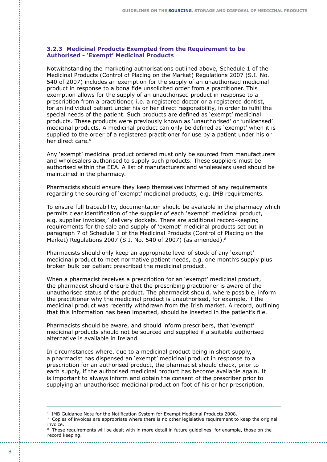#### **3.2.3 Medicinal Products Exempted from the Requirement to be Authorised - 'Exempt' Medicinal Products**

Notwithstanding the marketing authorisations outlined above, Schedule 1 of the Medicinal Products (Control of Placing on the Market) Regulations 2007 (S.I. No. 540 of 2007) includes an exemption for the supply of an unauthorised medicinal product in response to a bona fide unsolicited order from a practitioner. This exemption allows for the supply of an unauthorised product in response to a prescription from a practitioner, i.e. a registered doctor or a registered dentist, for an individual patient under his or her direct responsibility, in order to fulfil the special needs of the patient. Such products are defined as 'exempt' medicinal products. These products were previously known as 'unauthorised' or 'unlicensed' medicinal products. A medicinal product can only be defined as 'exempt' when it is supplied to the order of a registered practitioner for use by a patient under his or her direct care.<sup>6</sup>

Any 'exempt' medicinal product ordered must only be sourced from manufacturers and wholesalers authorised to supply such products. These suppliers must be authorised within the EEA. A list of manufacturers and wholesalers used should be maintained in the pharmacy.

Pharmacists should ensure they keep themselves informed of any requirements regarding the sourcing of 'exempt' medicinal products, e.g. IMB requirements.

To ensure full traceability, documentation should be available in the pharmacy which permits clear identification of the supplier of each 'exempt' medicinal product, e.g. supplier invoices,7 delivery dockets. There are additional record-keeping requirements for the sale and supply of 'exempt' medicinal products set out in paragraph 7 of Schedule 1 of the Medicinal Products (Control of Placing on the Market) Regulations 2007 (S.I. No. 540 of 2007) (as amended).<sup>8</sup>

Pharmacists should only keep an appropriate level of stock of any 'exempt' medicinal product to meet normative patient needs, e.g. one month's supply plus broken bulk per patient prescribed the medicinal product.

When a pharmacist receives a prescription for an 'exempt' medicinal product, the pharmacist should ensure that the prescribing practitioner is aware of the unauthorised status of the product. The pharmacist should, where possible, inform the practitioner why the medicinal product is unauthorised, for example, if the medicinal product was recently withdrawn from the Irish market. A record, outlining that this information has been imparted, should be inserted in the patient's file.

Pharmacists should be aware, and should inform prescribers, that 'exempt' medicinal products should not be sourced and supplied if a suitable authorised alternative is available in Ireland.

In circumstances where, due to a medicinal product being in short supply, a pharmacist has dispensed an 'exempt' medicinal product in response to a prescription for an authorised product, the pharmacist should check, prior to each supply, if the authorised medicinal product has become available again. It is important to always inform and obtain the consent of the prescriber prior to supplying an unauthorised medicinal product on foot of his or her prescription.

<sup>6</sup> IMB Guidance Note for the Notification System for Exempt Medicinal Products 2008.

 $\frac{7}{2}$  Copies of invoices are appropriate where there is no other legislative requirement to keep the original invoice.

<sup>&</sup>lt;sup>8</sup> These requirements will be dealt with in more detail in future quidelines, for example, those on the record keeping.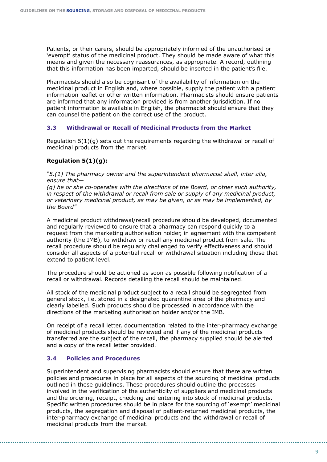Patients, or their carers, should be appropriately informed of the unauthorised or 'exempt' status of the medicinal product. They should be made aware of what this means and given the necessary reassurances, as appropriate. A record, outlining that this information has been imparted, should be inserted in the patient's file.

Pharmacists should also be cognisant of the availability of information on the medicinal product in English and, where possible, supply the patient with a patient information leaflet or other written information. Pharmacists should ensure patients are informed that any information provided is from another jurisdiction. If no patient information is available in English, the pharmacist should ensure that they can counsel the patient on the correct use of the product.

#### **3.3 Withdrawal or Recall of Medicinal Products from the Market**

Regulation  $5(1)(g)$  sets out the requirements regarding the withdrawal or recall of medicinal products from the market.

#### **Regulation 5(1)(g):**

*"5.(1) The pharmacy owner and the superintendent pharmacist shall, inter alia, ensure that—* 

*(g) he or she co-operates with the directions of the Board, or other such authority, in respect of the withdrawal or recall from sale or supply of any medicinal product, or veterinary medicinal product, as may be given, or as may be implemented, by the Board"*

A medicinal product withdrawal/recall procedure should be developed, documented and regularly reviewed to ensure that a pharmacy can respond quickly to a request from the marketing authorisation holder, in agreement with the competent authority (the IMB), to withdraw or recall any medicinal product from sale. The recall procedure should be regularly challenged to verify effectiveness and should consider all aspects of a potential recall or withdrawal situation including those that extend to patient level.

The procedure should be actioned as soon as possible following notification of a recall or withdrawal. Records detailing the recall should be maintained.

All stock of the medicinal product subject to a recall should be segregated from general stock, i.e. stored in a designated quarantine area of the pharmacy and clearly labelled. Such products should be processed in accordance with the directions of the marketing authorisation holder and/or the IMB.

On receipt of a recall letter, documentation related to the inter-pharmacy exchange of medicinal products should be reviewed and if any of the medicinal products transferred are the subject of the recall, the pharmacy supplied should be alerted and a copy of the recall letter provided.

# **3.4 Policies and Procedures**

Superintendent and supervising pharmacists should ensure that there are written policies and procedures in place for all aspects of the sourcing of medicinal products outlined in these guidelines. These procedures should outline the processes involved in the verification of the authenticity of suppliers and medicinal products and the ordering, receipt, checking and entering into stock of medicinal products. Specific written procedures should be in place for the sourcing of 'exempt' medicinal products, the segregation and disposal of patient-returned medicinal products, the inter-pharmacy exchange of medicinal products and the withdrawal or recall of medicinal products from the market.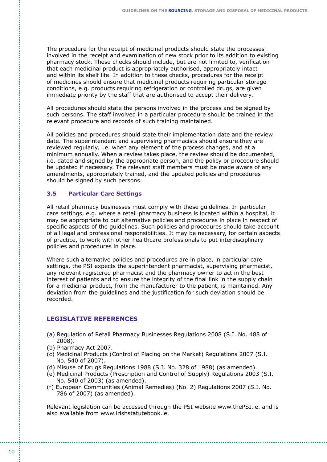The procedure for the receipt of medicinal products should state the processes involved in the receipt and examination of new stock prior to its addition to existing pharmacy stock. These checks should include, but are not limited to, verification that each medicinal product is appropriately authorised, appropriately intact and within its shelf life. In addition to these checks, procedures for the receipt of medicines should ensure that medicinal products requiring particular storage conditions, e.g. products requiring refrigeration or controlled drugs, are given immediate priority by the staff that are authorised to accept their delivery.

All procedures should state the persons involved in the process and be signed by such persons. The staff involved in a particular procedure should be trained in the relevant procedure and records of such training maintained.

All policies and procedures should state their implementation date and the review date. The superintendent and supervising pharmacists should ensure they are reviewed regularly, i.e. when any element of the process changes, and at a minimum annually. When a review takes place, the review should be documented, i.e. dated and signed by the appropriate person, and the policy or procedure should be updated if necessary. The relevant staff members must be made aware of any amendments, appropriately trained, and the updated policies and procedures should be signed by such persons.

# **3.5 Particular Care Settings**

All retail pharmacy businesses must comply with these guidelines. In particular care settings, e.g. where a retail pharmacy business is located within a hospital, it may be appropriate to put alternative policies and procedures in place in respect of specific aspects of the guidelines. Such policies and procedures should take account of all legal and professional responsibilities. It may be necessary, for certain aspects of practice, to work with other healthcare professionals to put interdisciplinary policies and procedures in place.

Where such alternative policies and procedures are in place, in particular care settings, the PSI expects the superintendent pharmacist, supervising pharmacist, any relevant registered pharmacist and the pharmacy owner to act in the best interest of patients and to ensure the integrity of the final link in the supply chain for a medicinal product, from the manufacturer to the patient, is maintained. Any deviation from the guidelines and the justification for such deviation should be recorded.

# **LEGISLATIVE REFERENCES**

- (a) Regulation of Retail Pharmacy Businesses Regulations 2008 (S.I. No. 488 of 2008).
- (b) Pharmacy Act 2007.
- (c) Medicinal Products (Control of Placing on the Market) Regulations 2007 (S.I. No. 540 of 2007).
- (d) Misuse of Drugs Regulations 1988 (S.I. No. 328 of 1988) (as amended).
- (e) Medicinal Products (Prescription and Control of Supply) Regulations 2003 (S.I. No. 540 of 2003) (as amended).
- (f) European Communities (Animal Remedies) (No. 2) Regulations 2007 (S.I. No. 786 of 2007) (as amended).

Relevant legislation can be accessed through the PSI website www.thePSI.ie. and is also available from www.irishstatutebook.ie.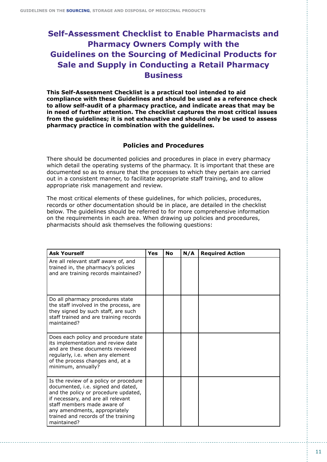# **Self-Assessment Checklist to Enable Pharmacists and Pharmacy Owners Comply with the Guidelines on the Sourcing of Medicinal Products for Sale and Supply in Conducting a Retail Pharmacy Business**

**This Self-Assessment Checklist is a practical tool intended to aid compliance with these Guidelines and should be used as a reference check to allow self-audit of a pharmacy practice, and indicate areas that may be in need of further attention. The checklist captures the most critical issues from the guidelines; it is not exhaustive and should only be used to assess pharmacy practice in combination with the guidelines.**

# **Policies and Procedures**

There should be documented policies and procedures in place in every pharmacy which detail the operating systems of the pharmacy. It is important that these are documented so as to ensure that the processes to which they pertain are carried out in a consistent manner, to facilitate appropriate staff training, and to allow appropriate risk management and review.

The most critical elements of these guidelines, for which policies, procedures, records or other documentation should be in place, are detailed in the checklist below. The guidelines should be referred to for more comprehensive information on the requirements in each area. When drawing up policies and procedures, pharmacists should ask themselves the following questions:

| <b>Ask Yourself</b>                                                                                                                                                                                                                                                              | <b>Yes</b> | <b>No</b> | N/A | <b>Required Action</b> |
|----------------------------------------------------------------------------------------------------------------------------------------------------------------------------------------------------------------------------------------------------------------------------------|------------|-----------|-----|------------------------|
| Are all relevant staff aware of, and<br>trained in, the pharmacy's policies<br>and are training records maintained?                                                                                                                                                              |            |           |     |                        |
| Do all pharmacy procedures state<br>the staff involved in the process, are<br>they signed by such staff, are such<br>staff trained and are training records<br>maintained?                                                                                                       |            |           |     |                        |
| Does each policy and procedure state<br>its implementation and review date<br>and are these documents reviewed<br>regularly, i.e. when any element<br>of the process changes and, at a<br>minimum, annually?                                                                     |            |           |     |                        |
| Is the review of a policy or procedure<br>documented, i.e. signed and dated,<br>and the policy or procedure updated,<br>if necessary, and are all relevant<br>staff members made aware of<br>any amendments, appropriately<br>trained and records of the training<br>maintained? |            |           |     |                        |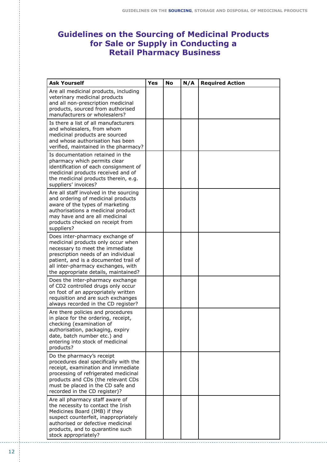# **Guidelines on the Sourcing of Medicinal Products for Sale or Supply in Conducting a Retail Pharmacy Business**

| <b>Ask Yourself</b>                                                                                                                                                                                                                                                    | <b>Yes</b> | No | N/A | <b>Required Action</b> |
|------------------------------------------------------------------------------------------------------------------------------------------------------------------------------------------------------------------------------------------------------------------------|------------|----|-----|------------------------|
| Are all medicinal products, including<br>veterinary medicinal products<br>and all non-prescription medicinal<br>products, sourced from authorised<br>manufacturers or wholesalers?                                                                                     |            |    |     |                        |
| Is there a list of all manufacturers<br>and wholesalers, from whom<br>medicinal products are sourced<br>and whose authorisation has been<br>verified, maintained in the pharmacy?                                                                                      |            |    |     |                        |
| Is documentation retained in the<br>pharmacy which permits clear<br>identification of each consignment of<br>medicinal products received and of<br>the medicinal products therein, e.g.<br>suppliers' invoices?                                                        |            |    |     |                        |
| Are all staff involved in the sourcing<br>and ordering of medicinal products<br>aware of the types of marketing<br>authorisations a medicinal product<br>may have and are all medicinal<br>products checked on receipt from<br>suppliers?                              |            |    |     |                        |
| Does inter-pharmacy exchange of<br>medicinal products only occur when<br>necessary to meet the immediate<br>prescription needs of an individual<br>patient, and is a documented trail of<br>all inter-pharmacy exchanges, with<br>the appropriate details, maintained? |            |    |     |                        |
| Does the inter-pharmacy exchange<br>of CD2 controlled drugs only occur<br>on foot of an appropriately written<br>requisition and are such exchanges<br>always recorded in the CD register?                                                                             |            |    |     |                        |
| Are there policies and procedures<br>in place for the ordering, receipt,<br>checking (examination of<br>authorisation, packaging, expiry<br>date, batch number etc.) and<br>entering into stock of medicinal<br>products?                                              |            |    |     |                        |
| Do the pharmacy's receipt<br>procedures deal specifically with the<br>receipt, examination and immediate<br>processing of refrigerated medicinal<br>products and CDs (the relevant CDs<br>must be placed in the CD safe and<br>recorded in the CD register)?           |            |    |     |                        |
| Are all pharmacy staff aware of<br>the necessity to contact the Irish<br>Medicines Board (IMB) if they<br>suspect counterfeit, inappropriately<br>authorised or defective medicinal<br>products, and to quarantine such<br>stock appropriately?                        |            |    |     |                        |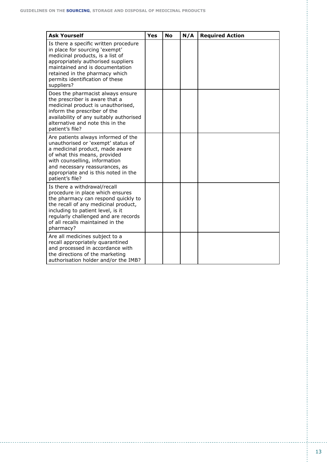| <b>Ask Yourself</b>                                                                                                                                                                                                                                                           | Yes | <b>No</b> | N/A | <b>Required Action</b> |
|-------------------------------------------------------------------------------------------------------------------------------------------------------------------------------------------------------------------------------------------------------------------------------|-----|-----------|-----|------------------------|
| Is there a specific written procedure<br>in place for sourcing 'exempt'<br>medicinal products, is a list of<br>appropriately authorised suppliers<br>maintained and is documentation<br>retained in the pharmacy which<br>permits identification of these<br>suppliers?       |     |           |     |                        |
| Does the pharmacist always ensure<br>the prescriber is aware that a<br>medicinal product is unauthorised,<br>inform the prescriber of the<br>availability of any suitably authorised<br>alternative and note this in the<br>patient's file?                                   |     |           |     |                        |
| Are patients always informed of the<br>unauthorised or 'exempt' status of<br>a medicinal product, made aware<br>of what this means, provided<br>with counselling, information<br>and necessary reassurances, as<br>appropriate and is this noted in the<br>patient's file?    |     |           |     |                        |
| Is there a withdrawal/recall<br>procedure in place which ensures<br>the pharmacy can respond quickly to<br>the recall of any medicinal product,<br>including to patient level, is it<br>regularly challenged and are records<br>of all recalls maintained in the<br>pharmacy? |     |           |     |                        |
| Are all medicines subject to a<br>recall appropriately quarantined<br>and processed in accordance with<br>the directions of the marketing<br>authorisation holder and/or the IMB?                                                                                             |     |           |     |                        |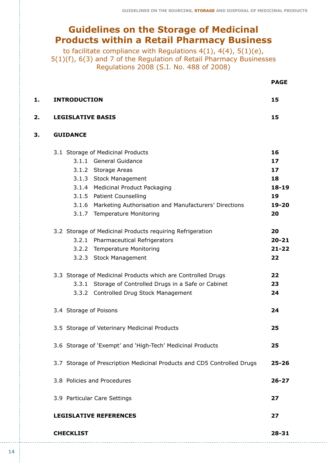# **Guidelines on the Storage of Medicinal Products within a Retail Pharmacy Business**

to facilitate compliance with Regulations  $4(1)$ ,  $4(4)$ ,  $5(1)(e)$ , 5(1)(f), 6(3) and 7 of the Regulation of Retail Pharmacy Businesses Regulations 2008 (S.I. No. 488 of 2008)

|    |                                                                         | <b>PAGE</b> |
|----|-------------------------------------------------------------------------|-------------|
| 1. | <b>INTRODUCTION</b>                                                     | 15          |
| 2. | <b>LEGISLATIVE BASIS</b>                                                | 15          |
| 3. | <b>GUIDANCE</b>                                                         |             |
|    | 3.1 Storage of Medicinal Products                                       | 16          |
|    | 3.1.1 General Guidance                                                  | 17          |
|    | 3.1.2 Storage Areas                                                     | 17          |
|    | 3.1.3 Stock Management                                                  | 18          |
|    | 3.1.4 Medicinal Product Packaging                                       | $18 - 19$   |
|    | 3.1.5 Patient Counselling                                               | 19          |
|    | 3.1.6 Marketing Authorisation and Manufacturers' Directions             | 19-20       |
|    | 3.1.7 Temperature Monitoring                                            | 20          |
|    | 3.2 Storage of Medicinal Products requiring Refrigeration               | 20          |
|    | 3.2.1 Pharmaceutical Refrigerators                                      | $20 - 21$   |
|    | 3.2.2 Temperature Monitoring                                            | $21 - 22$   |
|    | 3.2.3 Stock Management                                                  | 22          |
|    | 3.3 Storage of Medicinal Products which are Controlled Drugs            | 22          |
|    | 3.3.1 Storage of Controlled Drugs in a Safe or Cabinet                  | 23          |
|    | 3.3.2 Controlled Drug Stock Management                                  | 24          |
|    | 3.4 Storage of Poisons                                                  | 24          |
|    | 3.5 Storage of Veterinary Medicinal Products                            | 25          |
|    | 3.6 Storage of 'Exempt' and 'High-Tech' Medicinal Products              | 25          |
|    | 3.7 Storage of Prescription Medicinal Products and CD5 Controlled Drugs | $25 - 26$   |
|    | 3.8 Policies and Procedures                                             | $26 - 27$   |
|    | 3.9 Particular Care Settings                                            | 27          |
|    | <b>LEGISLATIVE REFERENCES</b>                                           | 27          |
|    | <b>CHECKLIST</b>                                                        | $28 - 31$   |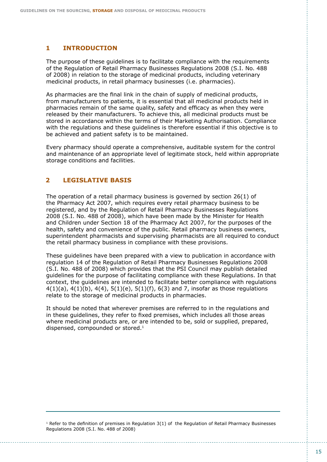# **1 INTRODUCTION**

The purpose of these guidelines is to facilitate compliance with the requirements of the Regulation of Retail Pharmacy Businesses Regulations 2008 (S.I. No. 488 of 2008) in relation to the storage of medicinal products, including veterinary medicinal products, in retail pharmacy businesses (i.e. pharmacies).

As pharmacies are the final link in the chain of supply of medicinal products, from manufacturers to patients, it is essential that all medicinal products held in pharmacies remain of the same quality, safety and efficacy as when they were released by their manufacturers. To achieve this, all medicinal products must be stored in accordance within the terms of their Marketing Authorisation. Compliance with the regulations and these guidelines is therefore essential if this objective is to be achieved and patient safety is to be maintained.

Every pharmacy should operate a comprehensive, auditable system for the control and maintenance of an appropriate level of legitimate stock, held within appropriate storage conditions and facilities.

#### **LEGISLATIVE BASIS 2**

The operation of a retail pharmacy business is governed by section 26(1) of the Pharmacy Act 2007, which requires every retail pharmacy business to be registered, and by the Regulation of Retail Pharmacy Businesses Regulations 2008 (S.I. No. 488 of 2008), which have been made by the Minister for Health and Children under Section 18 of the Pharmacy Act 2007, for the purposes of the health, safety and convenience of the public. Retail pharmacy business owners, superintendent pharmacists and supervising pharmacists are all required to conduct the retail pharmacy business in compliance with these provisions.

These guidelines have been prepared with a view to publication in accordance with regulation 14 of the Regulation of Retail Pharmacy Businesses Regulations 2008 (S.I. No. 488 of 2008) which provides that the PSI Council may publish detailed guidelines for the purpose of facilitating compliance with these Regulations. In that context, the guidelines are intended to facilitate better compliance with regulations  $4(1)(a)$ ,  $4(1)(b)$ ,  $4(4)$ ,  $5(1)(e)$ ,  $5(1)(f)$ ,  $6(3)$  and 7, insofar as those regulations relate to the storage of medicinal products in pharmacies.

It should be noted that wherever premises are referred to in the regulations and in these guidelines, they refer to fixed premises, which includes all those areas where medicinal products are, or are intended to be, sold or supplied, prepared, dispensed, compounded or stored.1

<sup>1</sup> Refer to the definition of premises in Regulation  $3(1)$  of the Regulation of Retail Pharmacy Businesses Regulations 2008 (S.I. No. 488 of 2008)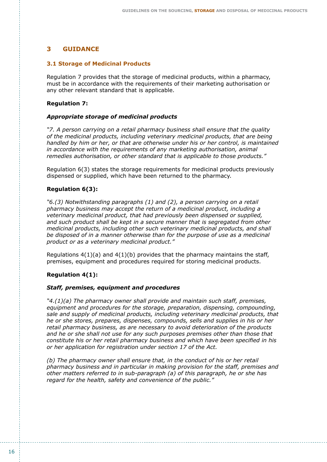#### **GUIDANCE 3**

#### **3.1 Storage of Medicinal Products**

Regulation 7 provides that the storage of medicinal products, within a pharmacy, must be in accordance with the requirements of their marketing authorisation or any other relevant standard that is applicable.

#### **Regulation 7:**

#### *Appropriate storage of medicinal products*

*"7. A person carrying on a retail pharmacy business shall ensure that the quality of the medicinal products, including veterinary medicinal products, that are being handled by him or her, or that are otherwise under his or her control, is maintained in accordance with the requirements of any marketing authorisation, animal remedies authorisation, or other standard that is applicable to those products."*

Regulation 6(3) states the storage requirements for medicinal products previously dispensed or supplied, which have been returned to the pharmacy.

#### **Regulation 6(3):**

*"6.(3) Notwithstanding paragraphs (1) and (2), a person carrying on a retail pharmacy business may accept the return of a medicinal product, including a veterinary medicinal product, that had previously been dispensed or supplied, and such product shall be kept in a secure manner that is segregated from other medicinal products, including other such veterinary medicinal products, and shall be disposed of in a manner otherwise than for the purpose of use as a medicinal product or as a veterinary medicinal product."*

Regulations  $4(1)(a)$  and  $4(1)(b)$  provides that the pharmacy maintains the staff, premises, equipment and procedures required for storing medicinal products.

#### **Regulation 4(1):**

#### *Staff, premises, equipment and procedures*

*"4.(1)(a) The pharmacy owner shall provide and maintain such staff, premises, equipment and procedures for the storage, preparation, dispensing, compounding, sale and supply of medicinal products, including veterinary medicinal products, that he or she stores, prepares, dispenses, compounds, sells and supplies in his or her retail pharmacy business, as are necessary to avoid deterioration of the products and he or she shall not use for any such purposes premises other than those that constitute his or her retail pharmacy business and which have been specified in his or her application for registration under section 17 of the Act.*

*(b) The pharmacy owner shall ensure that, in the conduct of his or her retail pharmacy business and in particular in making provision for the staff, premises and other matters referred to in sub-paragraph (a) of this paragraph, he or she has regard for the health, safety and convenience of the public."*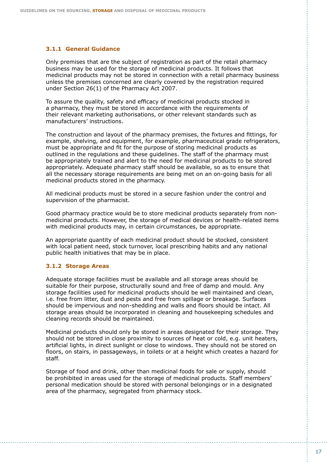#### **3.1.1 General Guidance**

Only premises that are the subject of registration as part of the retail pharmacy business may be used for the storage of medicinal products. It follows that medicinal products may not be stored in connection with a retail pharmacy business unless the premises concerned are clearly covered by the registration required under Section 26(1) of the Pharmacy Act 2007.

To assure the quality, safety and efficacy of medicinal products stocked in a pharmacy, they must be stored in accordance with the requirements of their relevant marketing authorisations, or other relevant standards such as manufacturers' instructions.

The construction and layout of the pharmacy premises, the fixtures and fittings, for example, shelving, and equipment, for example, pharmaceutical grade refrigerators, must be appropriate and fit for the purpose of storing medicinal products as outlined in the regulations and these guidelines. The staff of the pharmacy must be appropriately trained and alert to the need for medicinal products to be stored appropriately. Adequate pharmacy staff should be available, so as to ensure that all the necessary storage requirements are being met on an on-going basis for all medicinal products stored in the pharmacy.

All medicinal products must be stored in a secure fashion under the control and supervision of the pharmacist.

Good pharmacy practice would be to store medicinal products separately from nonmedicinal products. However, the storage of medical devices or health-related items with medicinal products may, in certain circumstances, be appropriate.

An appropriate quantity of each medicinal product should be stocked, consistent with local patient need, stock turnover, local prescribing habits and any national public health initiatives that may be in place.

#### **3.1.2 Storage Areas**

Adequate storage facilities must be available and all storage areas should be suitable for their purpose, structurally sound and free of damp and mould. Any storage facilities used for medicinal products should be well maintained and clean, i.e. free from litter, dust and pests and free from spillage or breakage. Surfaces should be impervious and non-shedding and walls and floors should be intact. All storage areas should be incorporated in cleaning and housekeeping schedules and cleaning records should be maintained.

Medicinal products should only be stored in areas designated for their storage. They should not be stored in close proximity to sources of heat or cold, e.g. unit heaters, artificial lights, in direct sunlight or close to windows. They should not be stored on floors, on stairs, in passageways, in toilets or at a height which creates a hazard for staff.

Storage of food and drink, other than medicinal foods for sale or supply, should be prohibited in areas used for the storage of medicinal products. Staff members' personal medication should be stored with personal belongings or in a designated area of the pharmacy, segregated from pharmacy stock.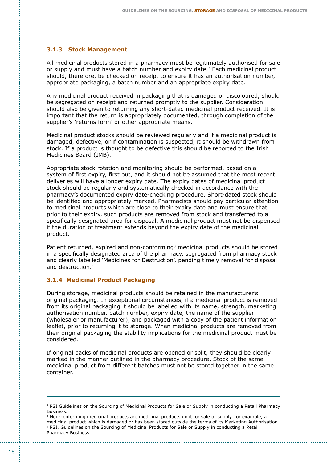## **3.1.3 Stock Management**

All medicinal products stored in a pharmacy must be legitimately authorised for sale or supply and must have a batch number and expiry date.2 Each medicinal product should, therefore, be checked on receipt to ensure it has an authorisation number, appropriate packaging, a batch number and an appropriate expiry date.

Any medicinal product received in packaging that is damaged or discoloured, should be segregated on receipt and returned promptly to the supplier. Consideration should also be given to returning any short-dated medicinal product received. It is important that the return is appropriately documented, through completion of the supplier's 'returns form' or other appropriate means.

Medicinal product stocks should be reviewed regularly and if a medicinal product is damaged, defective, or if contamination is suspected, it should be withdrawn from stock. If a product is thought to be defective this should be reported to the Irish Medicines Board (IMB).

Appropriate stock rotation and monitoring should be performed, based on a system of first expiry, first out, and it should not be assumed that the most recent deliveries will have a longer expiry date. The expiry dates of medicinal product stock should be regularly and systematically checked in accordance with the pharmacy's documented expiry date-checking procedure. Short-dated stock should be identified and appropriately marked. Pharmacists should pay particular attention to medicinal products which are close to their expiry date and must ensure that, prior to their expiry, such products are removed from stock and transferred to a specifically designated area for disposal. A medicinal product must not be dispensed if the duration of treatment extends beyond the expiry date of the medicinal product.

Patient returned, expired and non-conforming<sup>3</sup> medicinal products should be stored in a specifically designated area of the pharmacy, segregated from pharmacy stock and clearly labelled 'Medicines for Destruction', pending timely removal for disposal and destruction.4

#### **3.1.4 Medicinal Product Packaging**

During storage, medicinal products should be retained in the manufacturer's original packaging. In exceptional circumstances, if a medicinal product is removed from its original packaging it should be labelled with its name, strength, marketing authorisation number, batch number, expiry date, the name of the supplier (wholesaler or manufacturer), and packaged with a copy of the patient information leaflet, prior to returning it to storage. When medicinal products are removed from their original packaging the stability implications for the medicinal product must be considered.

If original packs of medicinal products are opened or split, they should be clearly marked in the manner outlined in the pharmacy procedure. Stock of the same medicinal product from different batches must not be stored together in the same container.

<sup>&</sup>lt;sup>2</sup> PSI Guidelines on the Sourcing of Medicinal Products for Sale or Supply in conducting a Retail Pharmacy Business.

<sup>&</sup>lt;sup>3</sup> Non-conforming medicinal products are medicinal products unfit for sale or supply, for example, a medicinal product which is damaged or has been stored outside the terms of its Marketing Authorisation. 4 PSI. Guidelines on the Sourcing of Medicinal Products for Sale or Supply in conducting a Retail Pharmacy Business.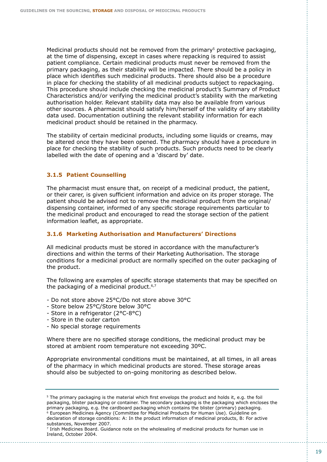Medicinal products should not be removed from the primary<sup>5</sup> protective packaging, at the time of dispensing, except in cases where repacking is required to assist patient compliance. Certain medicinal products must never be removed from the primary packaging, as their stability will be impacted. There should be a policy in place which identifies such medicinal products. There should also be a procedure in place for checking the stability of all medicinal products subject to repackaging. This procedure should include checking the medicinal product's Summary of Product Characteristics and/or verifying the medicinal product's stability with the marketing authorisation holder. Relevant stability data may also be available from various other sources. A pharmacist should satisfy him/herself of the validity of any stability data used. Documentation outlining the relevant stability information for each medicinal product should be retained in the pharmacy.

The stability of certain medicinal products, including some liquids or creams, may be altered once they have been opened. The pharmacy should have a procedure in place for checking the stability of such products. Such products need to be clearly labelled with the date of opening and a 'discard by' date.

#### **3.1.5 Patient Counselling**

The pharmacist must ensure that, on receipt of a medicinal product, the patient, or their carer, is given sufficient information and advice on its proper storage. The patient should be advised not to remove the medicinal product from the original/ dispensing container, informed of any specific storage requirements particular to the medicinal product and encouraged to read the storage section of the patient information leaflet, as appropriate.

#### **3.1.6 Marketing Authorisation and Manufacturers' Directions**

All medicinal products must be stored in accordance with the manufacturer's directions and within the terms of their Marketing Authorisation. The storage conditions for a medicinal product are normally specified on the outer packaging of the product.

The following are examples of specific storage statements that may be specified on the packaging of a medicinal product. $6,7$ 

- Do not store above 25°C/Do not store above 30°C
- Store below 25°C/Store below 30°C
- Store in a refrigerator (2°C-8°C)
- Store in the outer carton
- No special storage requirements

Where there are no specified storage conditions, the medicinal product may be stored at ambient room temperature not exceeding 30ºC.

Appropriate environmental conditions must be maintained, at all times, in all areas of the pharmacy in which medicinal products are stored. These storage areas should also be subjected to on-going monitoring as described below.

<sup>&</sup>lt;sup>5</sup> The primary packaging is the material which first envelops the product and holds it, e.g. the foil packaging, blister packaging or container. The secondary packaging is the packaging which encloses the primary packaging, e.g. the cardboard packaging which contains the blister (primary) packaging. 6 European Medicines Agency (Committee for Medicinal Products for Human Use). Guideline on declaration of storage conditions: A: In the product information of medicinal products, B: For active substances, November 2007.

<sup>7</sup> Irish Medicines Board. Guidance note on the wholesaling of medicinal products for human use in Ireland, October 2004.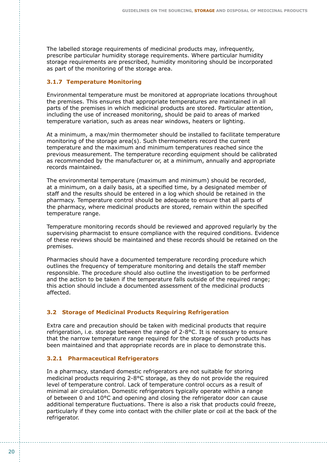The labelled storage requirements of medicinal products may, infrequently, prescribe particular humidity storage requirements. Where particular humidity storage requirements are prescribed, humidity monitoring should be incorporated as part of the monitoring of the storage area.

## **3.1.7 Temperature Monitoring**

Environmental temperature must be monitored at appropriate locations throughout the premises. This ensures that appropriate temperatures are maintained in all parts of the premises in which medicinal products are stored. Particular attention, including the use of increased monitoring, should be paid to areas of marked temperature variation, such as areas near windows, heaters or lighting.

At a minimum, a max/min thermometer should be installed to facilitate temperature monitoring of the storage area(s). Such thermometers record the current temperature and the maximum and minimum temperatures reached since the previous measurement. The temperature recording equipment should be calibrated as recommended by the manufacturer or, at a minimum, annually and appropriate records maintained.

The environmental temperature (maximum and minimum) should be recorded, at a minimum, on a daily basis, at a specified time, by a designated member of staff and the results should be entered in a log which should be retained in the pharmacy. Temperature control should be adequate to ensure that all parts of the pharmacy, where medicinal products are stored, remain within the specified temperature range.

Temperature monitoring records should be reviewed and approved regularly by the supervising pharmacist to ensure compliance with the required conditions. Evidence of these reviews should be maintained and these records should be retained on the premises.

Pharmacies should have a documented temperature recording procedure which outlines the frequency of temperature monitoring and details the staff member responsible. The procedure should also outline the investigation to be performed and the action to be taken if the temperature falls outside of the required range; this action should include a documented assessment of the medicinal products affected.

# **3.2 Storage of Medicinal Products Requiring Refrigeration**

Extra care and precaution should be taken with medicinal products that require refrigeration, i.e. storage between the range of 2-8°C. It is necessary to ensure that the narrow temperature range required for the storage of such products has been maintained and that appropriate records are in place to demonstrate this.

# **3.2.1 Pharmaceutical Refrigerators**

In a pharmacy, standard domestic refrigerators are not suitable for storing medicinal products requiring 2-8°C storage, as they do not provide the required level of temperature control. Lack of temperature control occurs as a result of minimal air circulation. Domestic refrigerators typically operate within a range of between 0 and 10°C and opening and closing the refrigerator door can cause additional temperature fluctuations. There is also a risk that products could freeze, particularly if they come into contact with the chiller plate or coil at the back of the refrigerator.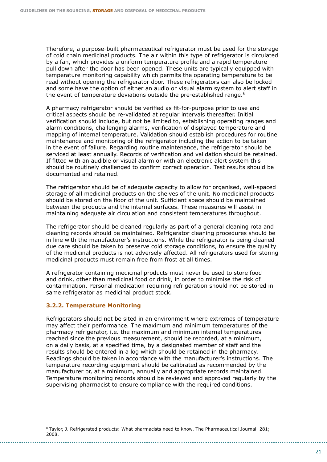Therefore, a purpose-built pharmaceutical refrigerator must be used for the storage of cold chain medicinal products. The air within this type of refrigerator is circulated by a fan, which provides a uniform temperature profile and a rapid temperature pull down after the door has been opened. These units are typically equipped with temperature monitoring capability which permits the operating temperature to be read without opening the refrigerator door. These refrigerators can also be locked and some have the option of either an audio or visual alarm system to alert staff in the event of temperature deviations outside the pre-established range.<sup>8</sup>

A pharmacy refrigerator should be verified as fit-for-purpose prior to use and critical aspects should be re-validated at regular intervals thereafter. Initial verification should include, but not be limited to, establishing operating ranges and alarm conditions, challenging alarms, verification of displayed temperature and mapping of internal temperature. Validation should establish procedures for routine maintenance and monitoring of the refrigerator including the action to be taken in the event of failure. Regarding routine maintenance, the refrigerator should be serviced at least annually. Records of verification and validation should be retained. If fitted with an audible or visual alarm or with an electronic alert system this should be routinely challenged to confirm correct operation. Test results should be documented and retained.

The refrigerator should be of adequate capacity to allow for organised, well-spaced storage of all medicinal products on the shelves of the unit. No medicinal products should be stored on the floor of the unit. Sufficient space should be maintained between the products and the internal surfaces. These measures will assist in maintaining adequate air circulation and consistent temperatures throughout.

The refrigerator should be cleaned regularly as part of a general cleaning rota and cleaning records should be maintained. Refrigerator cleaning procedures should be in line with the manufacturer's instructions. While the refrigerator is being cleaned due care should be taken to preserve cold storage conditions, to ensure the quality of the medicinal products is not adversely affected. All refrigerators used for storing medicinal products must remain free from frost at all times.

A refrigerator containing medicinal products must never be used to store food and drink, other than medicinal food or drink, in order to minimise the risk of contamination. Personal medication requiring refrigeration should not be stored in same refrigerator as medicinal product stock.

# **3.2.2. Temperature Monitoring**

Refrigerators should not be sited in an environment where extremes of temperature may affect their performance. The maximum and minimum temperatures of the pharmacy refrigerator, i.e. the maximum and minimum internal temperatures reached since the previous measurement, should be recorded, at a minimum, on a daily basis, at a specified time, by a designated member of staff and the results should be entered in a log which should be retained in the pharmacy. Readings should be taken in accordance with the manufacturer's instructions. The temperature recording equipment should be calibrated as recommended by the manufacturer or, at a minimum, annually and appropriate records maintained. Temperature monitoring records should be reviewed and approved regularly by the supervising pharmacist to ensure compliance with the required conditions.

<sup>8</sup> Taylor, J. Refrigerated products: What pharmacists need to know. The Pharmaceutical Journal. 281; 2008.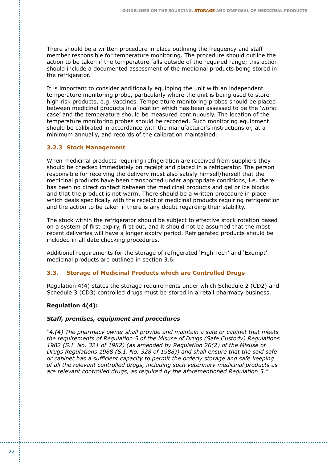There should be a written procedure in place outlining the frequency and staff member responsible for temperature monitoring. The procedure should outline the action to be taken if the temperature falls outside of the required range; this action should include a documented assessment of the medicinal products being stored in the refrigerator.

It is important to consider additionally equipping the unit with an independent temperature monitoring probe, particularly where the unit is being used to store high risk products, e.g. vaccines. Temperature monitoring probes should be placed between medicinal products in a location which has been assessed to be the 'worst case' and the temperature should be measured continuously. The location of the temperature monitoring probes should be recorded. Such monitoring equipment should be calibrated in accordance with the manufacturer's instructions or, at a minimum annually, and records of the calibration maintained.

## **3.2.3 Stock Management**

When medicinal products requiring refrigeration are received from suppliers they should be checked immediately on receipt and placed in a refrigerator. The person responsible for receiving the delivery must also satisfy himself/herself that the medicinal products have been transported under appropriate conditions, i.e. there has been no direct contact between the medicinal products and gel or ice blocks and that the product is not warm. There should be a written procedure in place which deals specifically with the receipt of medicinal products requiring refrigeration and the action to be taken if there is any doubt regarding their stability.

The stock within the refrigerator should be subject to effective stock rotation based on a system of first expiry, first out, and it should not be assumed that the most recent deliveries will have a longer expiry period. Refrigerated products should be included in all date checking procedures.

Additional requirements for the storage of refrigerated 'High Tech' and 'Exempt' medicinal products are outlined in section 3.6.

#### **3.3. Storage of Medicinal Products which are Controlled Drugs**

Regulation 4(4) states the storage requirements under which Schedule 2 (CD2) and Schedule 3 (CD3) controlled drugs must be stored in a retail pharmacy business.

#### **Regulation 4(4):**

#### *Staff, premises, equipment and procedures*

*"4.(4) The pharmacy owner shall provide and maintain a safe or cabinet that meets the requirements of Regulation 5 of the Misuse of Drugs (Safe Custody) Regulations 1982 (S.I. No. 321 of 1982) (as amended by Regulation 26(2) of the Misuse of Drugs Regulations 1988 (S.I. No. 328 of 1988)) and shall ensure that the said safe or cabinet has a sufficient capacity to permit the orderly storage and safe keeping of all the relevant controlled drugs, including such veterinary medicinal products as are relevant controlled drugs, as required by the aforementioned Regulation 5."*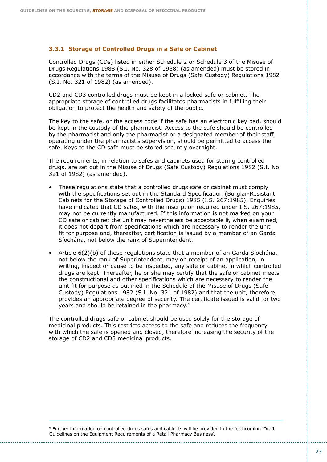#### **3.3.1 Storage of Controlled Drugs in a Safe or Cabinet**

Controlled Drugs (CDs) listed in either Schedule 2 or Schedule 3 of the Misuse of Drugs Regulations 1988 (S.I. No. 328 of 1988) (as amended) must be stored in accordance with the terms of the Misuse of Drugs (Safe Custody) Regulations 1982 (S.I. No. 321 of 1982) (as amended).

CD2 and CD3 controlled drugs must be kept in a locked safe or cabinet. The appropriate storage of controlled drugs facilitates pharmacists in fulfilling their obligation to protect the health and safety of the public.

The key to the safe, or the access code if the safe has an electronic key pad, should be kept in the custody of the pharmacist. Access to the safe should be controlled by the pharmacist and only the pharmacist or a designated member of their staff, operating under the pharmacist's supervision, should be permitted to access the safe. Keys to the CD safe must be stored securely overnight.

The requirements, in relation to safes and cabinets used for storing controlled drugs, are set out in the Misuse of Drugs (Safe Custody) Regulations 1982 (S.I. No. 321 of 1982) (as amended).

- These regulations state that a controlled drugs safe or cabinet must comply with the specifications set out in the Standard Specification (Burglar-Resistant Cabinets for the Storage of Controlled Drugs) 1985 (I.S. 267:1985). Enquiries have indicated that CD safes, with the inscription required under I.S. 267:1985, may not be currently manufactured. If this information is not marked on your CD safe or cabinet the unit may nevertheless be acceptable if, when examined, it does not depart from specifications which are necessary to render the unit fit for purpose and, thereafter, certification is issued by a member of an Garda Síochána, not below the rank of Superintendent.
- Article 6(2)(b) of these regulations state that a member of an Garda Síochána, not below the rank of Superintendent, may on receipt of an application, in writing, inspect or cause to be inspected, any safe or cabinet in which controlled drugs are kept. Thereafter, he or she may certify that the safe or cabinet meets the constructional and other specifications which are necessary to render the unit fit for purpose as outlined in the Schedule of the Misuse of Drugs (Safe Custody) Regulations 1982 (S.I. No. 321 of 1982) and that the unit, therefore, provides an appropriate degree of security. The certificate issued is valid for two years and should be retained in the pharmacy.9

The controlled drugs safe or cabinet should be used solely for the storage of medicinal products. This restricts access to the safe and reduces the frequency with which the safe is opened and closed, therefore increasing the security of the storage of CD2 and CD3 medicinal products.

9 Further information on controlled drugs safes and cabinets will be provided in the forthcoming 'Draft Guidelines on the Equipment Requirements of a Retail Pharmacy Business'.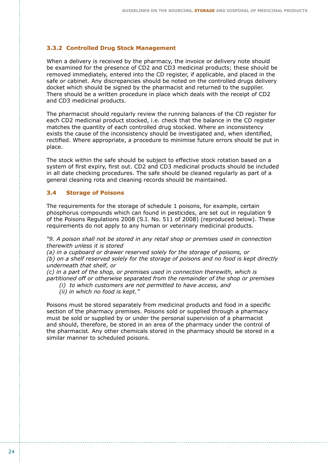#### **3.3.2 Controlled Drug Stock Management**

When a delivery is received by the pharmacy, the invoice or delivery note should be examined for the presence of CD2 and CD3 medicinal products; these should be removed immediately, entered into the CD register, if applicable, and placed in the safe or cabinet. Any discrepancies should be noted on the controlled drugs delivery docket which should be signed by the pharmacist and returned to the supplier. There should be a written procedure in place which deals with the receipt of CD2 and CD3 medicinal products.

The pharmacist should regularly review the running balances of the CD register for each CD2 medicinal product stocked, i.e. check that the balance in the CD register matches the quantity of each controlled drug stocked. Where an inconsistency exists the cause of the inconsistency should be investigated and, when identified, rectified. Where appropriate, a procedure to minimise future errors should be put in place.

The stock within the safe should be subject to effective stock rotation based on a system of first expiry, first out. CD2 and CD3 medicinal products should be included in all date checking procedures. The safe should be cleaned regularly as part of a general cleaning rota and cleaning records should be maintained.

#### **3.4 Storage of Poisons**

The requirements for the storage of schedule 1 poisons, for example, certain phosphorus compounds which can found in pesticides, are set out in regulation 9 of the Poisons Regulations 2008 (S.I. No. 511 of 2008) (reproduced below). These requirements do not apply to any human or veterinary medicinal products.

*"9. A poison shall not be stored in any retail shop or premises used in connection therewith unless it is stored*

*(a) in a cupboard or drawer reserved solely for the storage of poisons, or (b) on a shelf reserved solely for the storage of poisons and no food is kept directly underneath that shelf, or*

*(c) in a part of the shop, or premises used in connection therewith, which is partitioned off or otherwise separated from the remainder of the shop or premises*

- *(i) to which customers are not permitted to have access, and*
- *(ii) in which no food is kept."*

Poisons must be stored separately from medicinal products and food in a specific section of the pharmacy premises. Poisons sold or supplied through a pharmacy must be sold or supplied by or under the personal supervision of a pharmacist and should, therefore, be stored in an area of the pharmacy under the control of the pharmacist. Any other chemicals stored in the pharmacy should be stored in a similar manner to scheduled poisons.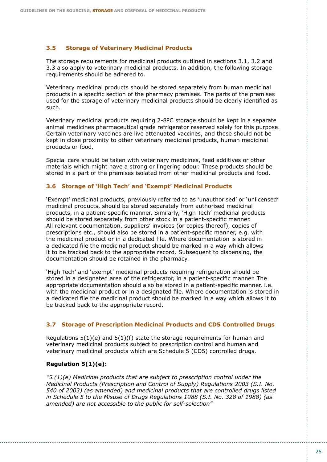### **3.5 Storage of Veterinary Medicinal Products**

The storage requirements for medicinal products outlined in sections 3.1, 3.2 and 3.3 also apply to veterinary medicinal products. In addition, the following storage requirements should be adhered to.

Veterinary medicinal products should be stored separately from human medicinal products in a specific section of the pharmacy premises. The parts of the premises used for the storage of veterinary medicinal products should be clearly identified as such.

Veterinary medicinal products requiring 2-8ºC storage should be kept in a separate animal medicines pharmaceutical grade refrigerator reserved solely for this purpose. Certain veterinary vaccines are live attenuated vaccines, and these should not be kept in close proximity to other veterinary medicinal products, human medicinal products or food.

Special care should be taken with veterinary medicines, feed additives or other materials which might have a strong or lingering odour. These products should be stored in a part of the premises isolated from other medicinal products and food.

#### **3.6 Storage of 'High Tech' and 'Exempt' Medicinal Products**

'Exempt' medicinal products, previously referred to as 'unauthorised' or 'unlicensed' medicinal products, should be stored separately from authorised medicinal products, in a patient-specific manner. Similarly, 'High Tech' medicinal products should be stored separately from other stock in a patient-specific manner. All relevant documentation, suppliers' invoices (or copies thereof), copies of prescriptions etc., should also be stored in a patient-specific manner, e.g. with the medicinal product or in a dedicated file. Where documentation is stored in a dedicated file the medicinal product should be marked in a way which allows it to be tracked back to the appropriate record. Subsequent to dispensing, the documentation should be retained in the pharmacy.

'High Tech' and 'exempt' medicinal products requiring refrigeration should be stored in a designated area of the refrigerator, in a patient-specific manner. The appropriate documentation should also be stored in a patient-specific manner, i.e. with the medicinal product or in a designated file. Where documentation is stored in a dedicated file the medicinal product should be marked in a way which allows it to be tracked back to the appropriate record.

# **3.7 Storage of Prescription Medicinal Products and CD5 Controlled Drugs**

Regulations  $5(1)(e)$  and  $5(1)(f)$  state the storage requirements for human and veterinary medicinal products subject to prescription control and human and veterinary medicinal products which are Schedule 5 (CD5) controlled drugs.

# **Regulation 5(1)(e):**

*"5.(1)(e) Medicinal products that are subject to prescription control under the Medicinal Products (Prescription and Control of Supply) Regulations 2003 (S.I. No. 540 of 2003) (as amended) and medicinal products that are controlled drugs listed in Schedule 5 to the Misuse of Drugs Regulations 1988 (S.I. No. 328 of 1988) (as amended) are not accessible to the public for self-selection"*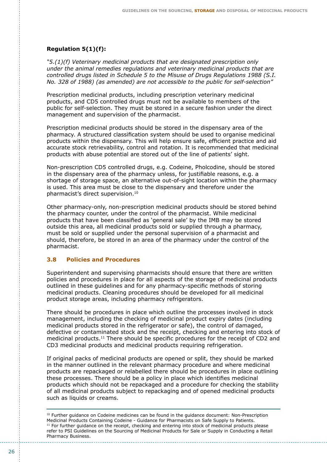## **Regulation 5(1)(f):**

*"5.(1)(f) Veterinary medicinal products that are designated prescription only under the animal remedies regulations and veterinary medicinal products that are controlled drugs listed in Schedule 5 to the Misuse of Drugs Regulations 1988 (S.I. No. 328 of 1988) (as amended) are not accessible to the public for self-selection"*

Prescription medicinal products, including prescription veterinary medicinal products, and CD5 controlled drugs must not be available to members of the public for self-selection. They must be stored in a secure fashion under the direct management and supervision of the pharmacist.

Prescription medicinal products should be stored in the dispensary area of the pharmacy. A structured classification system should be used to organise medicinal products within the dispensary. This will help ensure safe, efficient practice and aid accurate stock retrievability, control and rotation. It is recommended that medicinal products with abuse potential are stored out of the line of patients' sight.

Non-prescription CD5 controlled drugs, e.g. Codeine, Pholcodine, should be stored in the dispensary area of the pharmacy unless, for justifiable reasons, e.g. a shortage of storage space, an alternative out-of-sight location within the pharmacy is used. This area must be close to the dispensary and therefore under the pharmacist's direct supervision.10

Other pharmacy-only, non-prescription medicinal products should be stored behind the pharmacy counter, under the control of the pharmacist. While medicinal products that have been classified as 'general sale' by the IMB may be stored outside this area, all medicinal products sold or supplied through a pharmacy, must be sold or supplied under the personal supervision of a pharmacist and should, therefore, be stored in an area of the pharmacy under the control of the pharmacist.

## **3.8 Policies and Procedures**

Superintendent and supervising pharmacists should ensure that there are written policies and procedures in place for all aspects of the storage of medicinal products outlined in these guidelines and for any pharmacy-specific methods of storing medicinal products. Cleaning procedures should be developed for all medicinal product storage areas, including pharmacy refrigerators.

There should be procedures in place which outline the processes involved in stock management, including the checking of medicinal product expiry dates (including medicinal products stored in the refrigerator or safe), the control of damaged, defective or contaminated stock and the receipt, checking and entering into stock of medicinal products.<sup>11</sup> There should be specific procedures for the receipt of CD2 and CD3 medicinal products and medicinal products requiring refrigeration.

If original packs of medicinal products are opened or split, they should be marked in the manner outlined in the relevant pharmacy procedure and where medicinal products are repackaged or relabelled there should be procedures in place outlining these processes. There should be a policy in place which identifies medicinal products which should not be repackaged and a procedure for checking the stability of all medicinal products subject to repackaging and of opened medicinal products such as liquids or creams.

<sup>&</sup>lt;sup>10</sup> Further guidance on Codeine medicines can be found in the guidance document: Non-Prescription Medicinal Products Containing Codeine - Guidance for Pharmacists on Safe Supply to Patients.  $11$  For further guidance on the receipt, checking and entering into stock of medicinal products please refer to PSI Guidelines on the Sourcing of Medicinal Products for Sale or Supply in Conducting a Retail Pharmacy Business.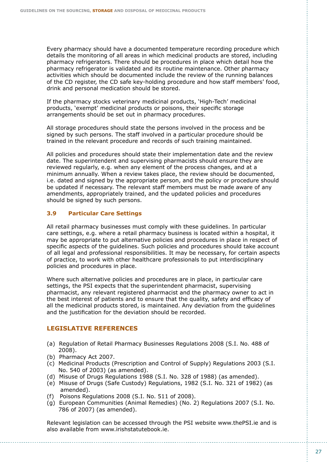Every pharmacy should have a documented temperature recording procedure which details the monitoring of all areas in which medicinal products are stored, including pharmacy refrigerators. There should be procedures in place which detail how the pharmacy refrigerator is validated and its routine maintenance. Other pharmacy activities which should be documented include the review of the running balances of the CD register, the CD safe key-holding procedure and how staff members' food, drink and personal medication should be stored.

If the pharmacy stocks veterinary medicinal products, 'High-Tech' medicinal products, 'exempt' medicinal products or poisons, their specific storage arrangements should be set out in pharmacy procedures.

All storage procedures should state the persons involved in the process and be signed by such persons. The staff involved in a particular procedure should be trained in the relevant procedure and records of such training maintained.

All policies and procedures should state their implementation date and the review date. The superintendent and supervising pharmacists should ensure they are reviewed regularly, e.g. when any element of the process changes, and at a minimum annually. When a review takes place, the review should be documented, i.e. dated and signed by the appropriate person, and the policy or procedure should be updated if necessary. The relevant staff members must be made aware of any amendments, appropriately trained, and the updated policies and procedures should be signed by such persons.

# **3.9 Particular Care Settings**

All retail pharmacy businesses must comply with these guidelines. In particular care settings, e.g. where a retail pharmacy business is located within a hospital, it may be appropriate to put alternative policies and procedures in place in respect of specific aspects of the guidelines. Such policies and procedures should take account of all legal and professional responsibilities. It may be necessary, for certain aspects of practice, to work with other healthcare professionals to put interdisciplinary policies and procedures in place.

Where such alternative policies and procedures are in place, in particular care settings, the PSI expects that the superintendent pharmacist, supervising pharmacist, any relevant registered pharmacist and the pharmacy owner to act in the best interest of patients and to ensure that the quality, safety and efficacy of all the medicinal products stored, is maintained. Any deviation from the guidelines and the justification for the deviation should be recorded.

# **LEGISLATIVE REFERENCES**

- (a) Regulation of Retail Pharmacy Businesses Regulations 2008 (S.I. No. 488 of 2008).
- (b) Pharmacy Act 2007.
- (c) Medicinal Products (Prescription and Control of Supply) Regulations 2003 (S.I. No. 540 of 2003) (as amended).
- (d) Misuse of Drugs Regulations 1988 (S.I. No. 328 of 1988) (as amended).
- (e) Misuse of Drugs (Safe Custody) Regulations, 1982 (S.I. No. 321 of 1982) (as amended).
- (f) Poisons Regulations 2008 (S.I. No. 511 of 2008).
- (g) European Communities (Animal Remedies) (No. 2) Regulations 2007 (S.I. No. 786 of 2007) (as amended).

Relevant legislation can be accessed through the PSI website www.thePSI.ie and is also available from www.irishstatutebook.ie.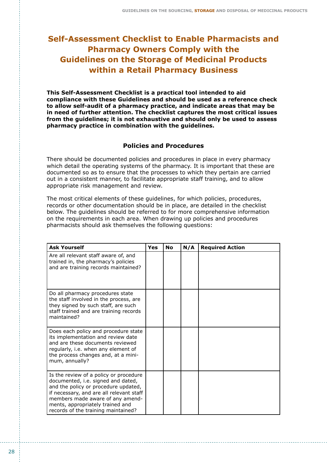# **Self-Assessment Checklist to Enable Pharmacists and Pharmacy Owners Comply with the Guidelines on the Storage of Medicinal Products within a Retail Pharmacy Business**

**This Self-Assessment Checklist is a practical tool intended to aid compliance with these Guidelines and should be used as a reference check to allow self-audit of a pharmacy practice, and indicate areas that may be in need of further attention. The checklist captures the most critical issues from the guidelines; it is not exhaustive and should only be used to assess pharmacy practice in combination with the guidelines.**

### **Policies and Procedures**

There should be documented policies and procedures in place in every pharmacy which detail the operating systems of the pharmacy. It is important that these are documented so as to ensure that the processes to which they pertain are carried out in a consistent manner, to facilitate appropriate staff training, and to allow appropriate risk management and review.

The most critical elements of these guidelines, for which policies, procedures, records or other documentation should be in place, are detailed in the checklist below. The guidelines should be referred to for more comprehensive information on the requirements in each area. When drawing up policies and procedures pharmacists should ask themselves the following questions:

| <b>Ask Yourself</b>                                                                                                                                                                                                                                                             | Yes | <b>No</b> | N/A | <b>Required Action</b> |
|---------------------------------------------------------------------------------------------------------------------------------------------------------------------------------------------------------------------------------------------------------------------------------|-----|-----------|-----|------------------------|
| Are all relevant staff aware of, and<br>trained in, the pharmacy's policies<br>and are training records maintained?                                                                                                                                                             |     |           |     |                        |
| Do all pharmacy procedures state<br>the staff involved in the process, are<br>they signed by such staff, are such<br>staff trained and are training records<br>maintained?                                                                                                      |     |           |     |                        |
| Does each policy and procedure state<br>its implementation and review date<br>and are these documents reviewed<br>regularly, i.e. when any element of<br>the process changes and, at a mini-<br>mum, annually?                                                                  |     |           |     |                        |
| Is the review of a policy or procedure<br>documented, i.e. signed and dated,<br>and the policy or procedure updated,<br>if necessary, and are all relevant staff<br>members made aware of any amend-<br>ments, appropriately trained and<br>records of the training maintained? |     |           |     |                        |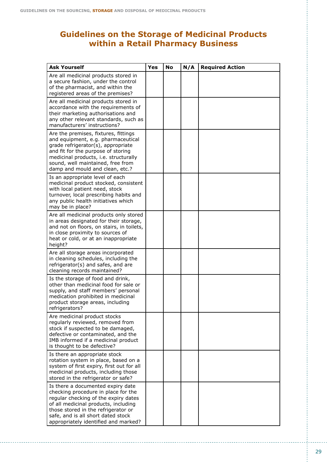# **Guidelines on the Storage of Medicinal Products within a Retail Pharmacy Business**

| <b>Ask Yourself</b>                                                                                                                                                                                                                                                           | Yes | <b>No</b> | N/A | <b>Required Action</b> |
|-------------------------------------------------------------------------------------------------------------------------------------------------------------------------------------------------------------------------------------------------------------------------------|-----|-----------|-----|------------------------|
| Are all medicinal products stored in<br>a secure fashion, under the control<br>of the pharmacist, and within the<br>registered areas of the premises?                                                                                                                         |     |           |     |                        |
| Are all medicinal products stored in<br>accordance with the requirements of<br>their marketing authorisations and<br>any other relevant standards, such as<br>manufacturers' instructions?                                                                                    |     |           |     |                        |
| Are the premises, fixtures, fittings<br>and equipment, e.g. pharmaceutical<br>grade refrigerator(s), appropriate<br>and fit for the purpose of storing<br>medicinal products, i.e. structurally<br>sound, well maintained, free from<br>damp and mould and clean, etc.?       |     |           |     |                        |
| Is an appropriate level of each<br>medicinal product stocked, consistent<br>with local patient need, stock<br>turnover, local prescribing habits and<br>any public health initiatives which<br>may be in place?                                                               |     |           |     |                        |
| Are all medicinal products only stored<br>in areas designated for their storage,<br>and not on floors, on stairs, in toilets,<br>in close proximity to sources of<br>heat or cold, or at an inappropriate<br>height?                                                          |     |           |     |                        |
| Are all storage areas incorporated<br>in cleaning schedules, including the<br>refrigerator(s) and safes, and are<br>cleaning records maintained?                                                                                                                              |     |           |     |                        |
| Is the storage of food and drink,<br>other than medicinal food for sale or<br>supply, and staff members' personal<br>medication prohibited in medicinal<br>product storage areas, including<br>refrigerators?                                                                 |     |           |     |                        |
| Are medicinal product stocks<br>regularly reviewed, removed from<br>stock if suspected to be damaged,<br>defective or contaminated, and the<br>IMB informed if a medicinal product<br>is thought to be defective?                                                             |     |           |     |                        |
| Is there an appropriate stock<br>rotation system in place, based on a<br>system of first expiry, first out for all<br>medicinal products, including those<br>stored in the refrigerator or safe?                                                                              |     |           |     |                        |
| Is there a documented expiry date<br>checking procedure in place for the<br>regular checking of the expiry dates<br>of all medicinal products, including<br>those stored in the refrigerator or<br>safe, and is all short dated stock<br>appropriately identified and marked? |     |           |     |                        |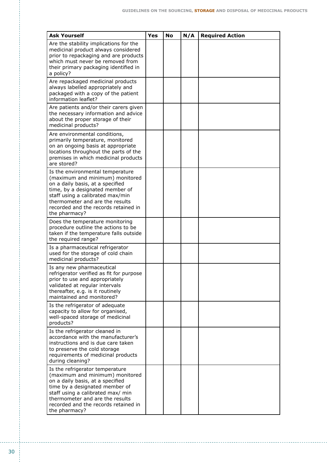| <b>Ask Yourself</b>                                                                                                                                                                                                                                                        | Yes | No | N/A | <b>Required Action</b> |
|----------------------------------------------------------------------------------------------------------------------------------------------------------------------------------------------------------------------------------------------------------------------------|-----|----|-----|------------------------|
| Are the stability implications for the<br>medicinal product always considered<br>prior to repackaging and are products<br>which must never be removed from<br>their primary packaging identified in<br>a policy?                                                           |     |    |     |                        |
| Are repackaged medicinal products<br>always labelled appropriately and<br>packaged with a copy of the patient<br>information leaflet?                                                                                                                                      |     |    |     |                        |
| Are patients and/or their carers given<br>the necessary information and advice<br>about the proper storage of their<br>medicinal products?                                                                                                                                 |     |    |     |                        |
| Are environmental conditions,<br>primarily temperature, monitored<br>on an ongoing basis at appropriate<br>locations throughout the parts of the<br>premises in which medicinal products<br>are stored?                                                                    |     |    |     |                        |
| Is the environmental temperature<br>(maximum and minimum) monitored<br>on a daily basis, at a specified<br>time, by a designated member of<br>staff using a calibrated max/min<br>thermometer and are the results<br>recorded and the records retained in<br>the pharmacy? |     |    |     |                        |
| Does the temperature monitoring<br>procedure outline the actions to be<br>taken if the temperature falls outside<br>the required range?                                                                                                                                    |     |    |     |                        |
| Is a pharmaceutical refrigerator<br>used for the storage of cold chain<br>medicinal products?                                                                                                                                                                              |     |    |     |                        |
| Is any new pharmaceutical<br>refrigerator verified as fit for purpose<br>prior to use and appropriately<br>validated at regular intervals<br>thereafter, e.g. is it routinely<br>maintained and monitored?                                                                 |     |    |     |                        |
| Is the refrigerator of adequate<br>capacity to allow for organised,<br>well-spaced storage of medicinal<br>products?                                                                                                                                                       |     |    |     |                        |
| Is the refrigerator cleaned in<br>accordance with the manufacturer's<br>instructions and is due care taken<br>to preserve the cold storage<br>requirements of medicinal products<br>during cleaning?                                                                       |     |    |     |                        |
| Is the refrigerator temperature<br>(maximum and minimum) monitored<br>on a daily basis, at a specified<br>time by a designated member of<br>staff using a calibrated max/ min<br>thermometer and are the results<br>recorded and the records retained in<br>the pharmacy?  |     |    |     |                        |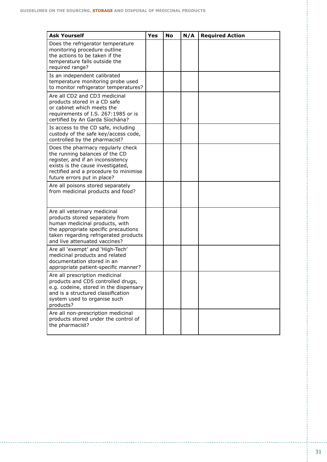| <b>Ask Yourself</b>                                                                                                                                                                                                   | Yes | No | N/A | <b>Required Action</b> |
|-----------------------------------------------------------------------------------------------------------------------------------------------------------------------------------------------------------------------|-----|----|-----|------------------------|
| Does the refrigerator temperature<br>monitoring procedure outline<br>the actions to be taken if the<br>temperature falls outside the<br>required range?                                                               |     |    |     |                        |
| Is an independent calibrated<br>temperature monitoring probe used<br>to monitor refrigerator temperatures?                                                                                                            |     |    |     |                        |
| Are all CD2 and CD3 medicinal<br>products stored in a CD safe<br>or cabinet which meets the<br>requirements of I.S. 267:1985 or is<br>certified by An Garda Síochána?                                                 |     |    |     |                        |
| Is access to the CD safe, including<br>custody of the safe key/access code,<br>controlled by the pharmacist?                                                                                                          |     |    |     |                        |
| Does the pharmacy regularly check<br>the running balances of the CD<br>register, and if an inconsistency<br>exists is the cause investigated,<br>rectified and a procedure to minimise<br>future errors put in place? |     |    |     |                        |
| Are all poisons stored separately<br>from medicinal products and food?                                                                                                                                                |     |    |     |                        |
| Are all veterinary medicinal<br>products stored separately from<br>human medicinal products, with<br>the appropriate specific precautions<br>taken regarding refrigerated products<br>and live attenuated vaccines?   |     |    |     |                        |
| Are all 'exempt' and 'High-Tech'<br>medicinal products and related<br>documentation stored in an<br>appropriate patient-specific manner?                                                                              |     |    |     |                        |
| Are all prescription medicinal<br>products and CD5 controlled drugs,<br>e.g. codeine, stored in the dispensary<br>and is a structured classification<br>system used to organise such<br>products?                     |     |    |     |                        |
| Are all non-prescription medicinal<br>products stored under the control of<br>the pharmacist?                                                                                                                         |     |    |     |                        |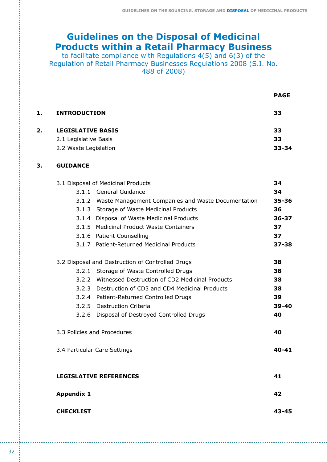# **Guidelines on the Disposal of Medicinal Products within a Retail Pharmacy Business**

to facilitate compliance with Regulations 4(5) and 6(3) of the Regulation of Retail Pharmacy Businesses Regulations 2008 (S.I. No. 488 of 2008)

 **PAGE**

|    | <b>INTRODUCTION</b>      | 33        |
|----|--------------------------|-----------|
| 2. | <b>LEGISLATIVE BASIS</b> | 33        |
|    | 2.1 Legislative Basis    | 33        |
|    | 2.2 Waste Legislation    | $33 - 34$ |

# **3. GUIDANCE**

|                   | 3.1 Disposal of Medicinal Products                       | 34        |
|-------------------|----------------------------------------------------------|-----------|
|                   | 3.1.1 General Guidance                                   | 34        |
|                   | 3.1.2 Waste Management Companies and Waste Documentation | $35 - 36$ |
|                   | 3.1.3 Storage of Waste Medicinal Products                | 36        |
|                   | 3.1.4 Disposal of Waste Medicinal Products               | $36 - 37$ |
|                   | 3.1.5 Medicinal Product Waste Containers                 | 37        |
|                   | 3.1.6 Patient Counselling                                | 37        |
|                   | 3.1.7 Patient-Returned Medicinal Products                | $37 - 38$ |
|                   | 3.2 Disposal and Destruction of Controlled Drugs         | 38        |
|                   | 3.2.1 Storage of Waste Controlled Drugs                  | 38        |
|                   | 3.2.2 Witnessed Destruction of CD2 Medicinal Products    | 38        |
|                   | 3.2.3 Destruction of CD3 and CD4 Medicinal Products      | 38        |
|                   | 3.2.4 Patient-Returned Controlled Drugs                  | 39        |
|                   | 3.2.5 Destruction Criteria                               | 39-40     |
|                   | 3.2.6 Disposal of Destroyed Controlled Drugs             | 40        |
|                   | 3.3 Policies and Procedures                              | 40        |
|                   | 3.4 Particular Care Settings                             | $40 - 41$ |
|                   | <b>LEGISLATIVE REFERENCES</b>                            | 41        |
| <b>Appendix 1</b> |                                                          | 42        |
| <b>CHECKLIST</b>  |                                                          | 43-45     |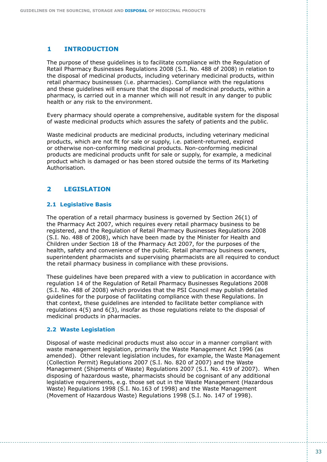# **1 INTRODUCTION**

The purpose of these guidelines is to facilitate compliance with the Regulation of Retail Pharmacy Businesses Regulations 2008 (S.I. No. 488 of 2008) in relation to the disposal of medicinal products, including veterinary medicinal products, within retail pharmacy businesses (i.e. pharmacies). Compliance with the regulations and these guidelines will ensure that the disposal of medicinal products, within a pharmacy, is carried out in a manner which will not result in any danger to public health or any risk to the environment.

Every pharmacy should operate a comprehensive, auditable system for the disposal of waste medicinal products which assures the safety of patients and the public.

Waste medicinal products are medicinal products, including veterinary medicinal products, which are not fit for sale or supply, i.e. patient-returned, expired or otherwise non-conforming medicinal products. Non-conforming medicinal products are medicinal products unfit for sale or supply, for example, a medicinal product which is damaged or has been stored outside the terms of its Marketing Authorisation.

#### **LEGISLATION 2**

## **2.1 Legislative Basis**

The operation of a retail pharmacy business is governed by Section 26(1) of the Pharmacy Act 2007, which requires every retail pharmacy business to be registered, and the Regulation of Retail Pharmacy Businesses Regulations 2008 (S.I. No. 488 of 2008), which have been made by the Minister for Health and Children under Section 18 of the Pharmacy Act 2007, for the purposes of the health, safety and convenience of the public. Retail pharmacy business owners, superintendent pharmacists and supervising pharmacists are all required to conduct the retail pharmacy business in compliance with these provisions.

These guidelines have been prepared with a view to publication in accordance with regulation 14 of the Regulation of Retail Pharmacy Businesses Regulations 2008 (S.I. No. 488 of 2008) which provides that the PSI Council may publish detailed guidelines for the purpose of facilitating compliance with these Regulations. In that context, these guidelines are intended to facilitate better compliance with regulations 4(5) and 6(3), insofar as those regulations relate to the disposal of medicinal products in pharmacies.

#### **2.2 Waste Legislation**

Disposal of waste medicinal products must also occur in a manner compliant with waste management legislation, primarily the Waste Management Act 1996 (as amended). Other relevant legislation includes, for example, the Waste Management (Collection Permit) Regulations 2007 (S.I. No. 820 of 2007) and the Waste Management (Shipments of Waste) Regulations 2007 (S.I. No. 419 of 2007). When disposing of hazardous waste, pharmacists should be cognisant of any additional legislative requirements, e.g. those set out in the Waste Management (Hazardous Waste) Regulations 1998 (S.I. No.163 of 1998) and the Waste Management (Movement of Hazardous Waste) Regulations 1998 (S.I. No. 147 of 1998).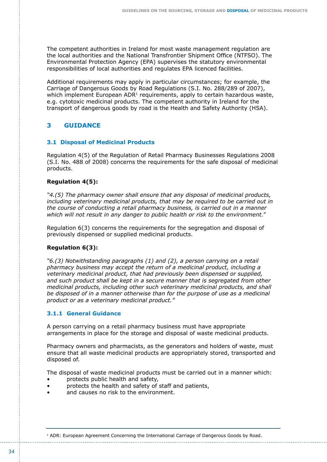The competent authorities in Ireland for most waste management regulation are the local authorities and the National Transfrontier Shipment Office (NTFSO). The Environmental Protection Agency (EPA) supervises the statutory environmental responsibilities of local authorities and regulates EPA licenced facilities.

Additional requirements may apply in particular circumstances; for example, the Carriage of Dangerous Goods by Road Regulations (S.I. No. 288/289 of 2007), which implement European ADR<sup>1</sup> requirements, apply to certain hazardous waste, e.g. cytotoxic medicinal products. The competent authority in Ireland for the transport of dangerous goods by road is the Health and Safety Authority (HSA).

# **3 GUIDANCE**

## **3.1 Disposal of Medicinal Products**

Regulation 4(5) of the Regulation of Retail Pharmacy Businesses Regulations 2008 (S.I. No. 488 of 2008) concerns the requirements for the safe disposal of medicinal products.

## **Regulation 4(5):**

*"4.(5) The pharmacy owner shall ensure that any disposal of medicinal products, including veterinary medicinal products, that may be required to be carried out in the course of conducting a retail pharmacy business, is carried out in a manner which will not result in any danger to public health or risk to the environment.*"

Regulation 6(3) concerns the requirements for the segregation and disposal of previously dispensed or supplied medicinal products.

#### **Regulation 6(3):**

*"6.(3) Notwithstanding paragraphs (1) and (2), a person carrying on a retail pharmacy business may accept the return of a medicinal product, including a veterinary medicinal product, that had previously been dispensed or supplied,*  and such product shall be kept in a secure manner that is segregated from other *medicinal products, including other such veterinary medicinal products, and shall be disposed of in a manner otherwise than for the purpose of use as a medicinal product or as a veterinary medicinal product."*

#### **3.1.1 General Guidance**

A person carrying on a retail pharmacy business must have appropriate arrangements in place for the storage and disposal of waste medicinal products.

Pharmacy owners and pharmacists, as the generators and holders of waste, must ensure that all waste medicinal products are appropriately stored, transported and disposed of.

The disposal of waste medicinal products must be carried out in a manner which:

- protects public health and safety,
- protects the health and safety of staff and patients,
- and causes no risk to the environment.

1 ADR: European Agreement Concerning the International Carriage of Dangerous Goods by Road.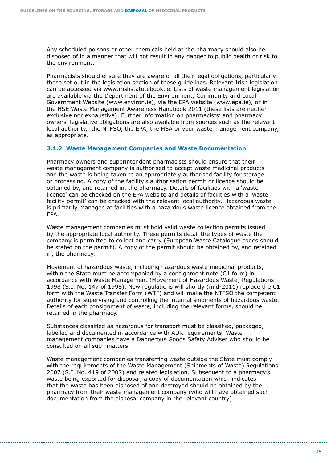Any scheduled poisons or other chemicals held at the pharmacy should also be disposed of in a manner that will not result in any danger to public health or risk to the environment.

Pharmacists should ensure they are aware of all their legal obligations, particularly those set out in the legislation section of these guidelines. Relevant Irish legislation can be accessed via www.irishstatutebook.ie. Lists of waste management legislation are available via the Department of the Environment, Community and Local Government Website (www.environ.ie), via the EPA website (www.epa.ie), or in the HSE Waste Management Awareness Handbook 2011 (these lists are neither exclusive nor exhaustive). Further information on pharmacists' and pharmacy owners' legislative obligations are also available from sources such as the relevant local authority, the NTFSO, the EPA, the HSA or your waste management company, as appropriate.

#### **3.1.2 Waste Management Companies and Waste Documentation**

Pharmacy owners and superintendent pharmacists should ensure that their waste management company is authorised to accept waste medicinal products and the waste is being taken to an appropriately authorised facility for storage or processing. A copy of the facility's authorisation permit or licence should be obtained by, and retained in, the pharmacy. Details of facilities with a 'waste licence' can be checked on the EPA website and details of facilities with a 'waste facility permit' can be checked with the relevant local authority. Hazardous waste is primarily managed at facilities with a hazardous waste licence obtained from the EPA.

Waste management companies must hold valid waste collection permits issued by the appropriate local authority. These permits detail the types of waste the company is permitted to collect and carry (European Waste Catalogue codes should be stated on the permit). A copy of the permit should be obtained by, and retained in, the pharmacy.

Movement of hazardous waste, including hazardous waste medicinal products, within the State must be accompanied by a consignment note (C1 form) in accordance with Waste Management (Movement of Hazardous Waste) Regulations 1998 (S.I. No. 147 of 1998). New regulations will shortly (mid-2011) replace the C1 form with the Waste Transfer Form (WTF) and will make the NTFSO the competent authority for supervising and controlling the internal shipments of hazardous waste. Details of each consignment of waste, including the relevant forms, should be retained in the pharmacy.

Substances classified as hazardous for transport must be classified, packaged, labelled and documented in accordance with ADR requirements. Waste management companies have a Dangerous Goods Safety Adviser who should be consulted on all such matters.

Waste management companies transferring waste outside the State must comply with the requirements of the Waste Management (Shipments of Waste) Regulations 2007 (S.I. No. 419 of 2007) and related legislation. Subsequent to a pharmacy's waste being exported for disposal, a copy of documentation which indicates that the waste has been disposed of and destroyed should be obtained by the pharmacy from their waste management company (who will have obtained such documentation from the disposal company in the relevant country).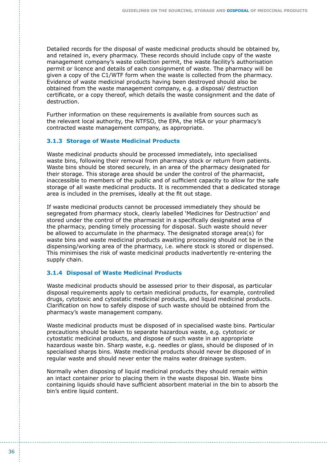Detailed records for the disposal of waste medicinal products should be obtained by, and retained in, every pharmacy. These records should include copy of the waste management company's waste collection permit, the waste facility's authorisation permit or licence and details of each consignment of waste. The pharmacy will be given a copy of the C1/WTF form when the waste is collected from the pharmacy. Evidence of waste medicinal products having been destroyed should also be obtained from the waste management company, e.g. a disposal/ destruction certificate, or a copy thereof, which details the waste consignment and the date of destruction.

Further information on these requirements is available from sources such as the relevant local authority, the NTFSO, the EPA, the HSA or your pharmacy's contracted waste management company, as appropriate.

#### **3.1.3 Storage of Waste Medicinal Products**

Waste medicinal products should be processed immediately, into specialised waste bins, following their removal from pharmacy stock or return from patients. Waste bins should be stored securely, in an area of the pharmacy designated for their storage. This storage area should be under the control of the pharmacist, inaccessible to members of the public and of sufficient capacity to allow for the safe storage of all waste medicinal products. It is recommended that a dedicated storage area is included in the premises, ideally at the fit out stage.

If waste medicinal products cannot be processed immediately they should be segregated from pharmacy stock, clearly labelled 'Medicines for Destruction' and stored under the control of the pharmacist in a specifically designated area of the pharmacy, pending timely processing for disposal. Such waste should never be allowed to accumulate in the pharmacy. The designated storage area(s) for waste bins and waste medicinal products awaiting processing should not be in the dispensing/working area of the pharmacy, i.e. where stock is stored or dispensed. This minimises the risk of waste medicinal products inadvertently re-entering the supply chain.

### **3.1.4 Disposal of Waste Medicinal Products**

Waste medicinal products should be assessed prior to their disposal, as particular disposal requirements apply to certain medicinal products, for example, controlled drugs, cytotoxic and cytostatic medicinal products, and liquid medicinal products. Clarification on how to safely dispose of such waste should be obtained from the pharmacy's waste management company.

Waste medicinal products must be disposed of in specialised waste bins. Particular precautions should be taken to separate hazardous waste, e.g. cytotoxic or cytostatic medicinal products, and dispose of such waste in an appropriate hazardous waste bin. Sharp waste, e.g. needles or glass, should be disposed of in specialised sharps bins. Waste medicinal products should never be disposed of in regular waste and should never enter the mains water drainage system.

Normally when disposing of liquid medicinal products they should remain within an intact container prior to placing them in the waste disposal bin. Waste bins containing liquids should have sufficient absorbent material in the bin to absorb the bin's entire liquid content.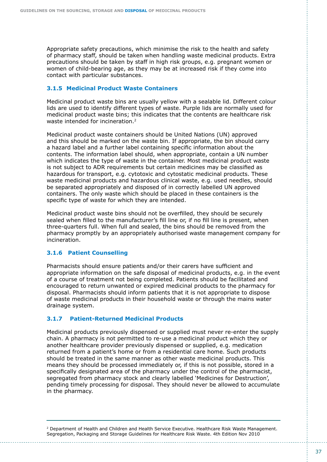Appropriate safety precautions, which minimise the risk to the health and safety of pharmacy staff, should be taken when handling waste medicinal products. Extra precautions should be taken by staff in high risk groups, e.g. pregnant women or women of child-bearing age, as they may be at increased risk if they come into contact with particular substances.

### **3.1.5 Medicinal Product Waste Containers**

Medicinal product waste bins are usually yellow with a sealable lid. Different colour lids are used to identify different types of waste. Purple lids are normally used for medicinal product waste bins; this indicates that the contents are healthcare risk waste intended for incineration.<sup>2</sup>

Medicinal product waste containers should be United Nations (UN) approved and this should be marked on the waste bin. If appropriate, the bin should carry a hazard label and a further label containing specific information about the contents. The information label should, when appropriate, contain a UN number which indicates the type of waste in the container. Most medicinal product waste is not subject to ADR requirements but certain medicines may be classified as hazardous for transport, e.g. cytotoxic and cytostatic medicinal products. These waste medicinal products and hazardous clinical waste, e.g. used needles, should be separated appropriately and disposed of in correctly labelled UN approved containers. The only waste which should be placed in these containers is the specific type of waste for which they are intended.

Medicinal product waste bins should not be overfilled, they should be securely sealed when filled to the manufacturer's fill line or, if no fill line is present, when three-quarters full. When full and sealed, the bins should be removed from the pharmacy promptly by an appropriately authorised waste management company for incineration.

#### **3.1.6 Patient Counselling**

Pharmacists should ensure patients and/or their carers have sufficient and appropriate information on the safe disposal of medicinal products, e.g. in the event of a course of treatment not being completed. Patients should be facilitated and encouraged to return unwanted or expired medicinal products to the pharmacy for disposal. Pharmacists should inform patients that it is not appropriate to dispose of waste medicinal products in their household waste or through the mains water drainage system.

# **3.1.7 Patient-Returned Medicinal Products**

Medicinal products previously dispensed or supplied must never re-enter the supply chain. A pharmacy is not permitted to re-use a medicinal product which they or another healthcare provider previously dispensed or supplied, e.g. medication returned from a patient's home or from a residential care home. Such products should be treated in the same manner as other waste medicinal products. This means they should be processed immediately or, if this is not possible, stored in a specifically designated area of the pharmacy under the control of the pharmacist, segregated from pharmacy stock and clearly labelled 'Medicines for Destruction', pending timely processing for disposal. They should never be allowed to accumulate in the pharmacy.

<sup>2</sup> Department of Health and Children and Health Service Executive. Healthcare Risk Waste Management. Segregation, Packaging and Storage Guidelines for Healthcare Risk Waste. 4th Edition Nov 2010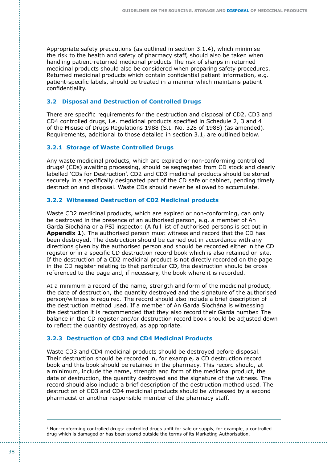Appropriate safety precautions (as outlined in section 3.1.4), which minimise the risk to the health and safety of pharmacy staff, should also be taken when handling patient-returned medicinal products The risk of sharps in returned medicinal products should also be considered when preparing safety procedures. Returned medicinal products which contain confidential patient information, e.g. patient-specific labels, should be treated in a manner which maintains patient confidentiality.

#### **3.2 Disposal and Destruction of Controlled Drugs**

There are specific requirements for the destruction and disposal of CD2, CD3 and CD4 controlled drugs, i.e. medicinal products specified in Schedule 2, 3 and 4 of the Misuse of Drugs Regulations 1988 (S.I. No. 328 of 1988) (as amended). Requirements, additional to those detailed in section 3.1, are outlined below.

#### **3.2.1 Storage of Waste Controlled Drugs**

Any waste medicinal products, which are expired or non-conforming controlled drugs3 (CDs) awaiting processing, should be segregated from CD stock and clearly labelled 'CDs for Destruction'. CD2 and CD3 medicinal products should be stored securely in a specifically designated part of the CD safe or cabinet, pending timely destruction and disposal. Waste CDs should never be allowed to accumulate.

#### **3.2.2 Witnessed Destruction of CD2 Medicinal products**

Waste CD2 medicinal products, which are expired or non-conforming, can only be destroyed in the presence of an authorised person, e.g. a member of An Garda Síochána or a PSI inspector. (A full list of authorised persons is set out in **Appendix 1**). The authorised person must witness and record that the CD has been destroyed. The destruction should be carried out in accordance with any directions given by the authorised person and should be recorded either in the CD register or in a specific CD destruction record book which is also retained on site. If the destruction of a CD2 medicinal product is not directly recorded on the page in the CD register relating to that particular CD, the destruction should be cross referenced to the page and, if necessary, the book where it is recorded.

At a minimum a record of the name, strength and form of the medicinal product, the date of destruction, the quantity destroyed and the signature of the authorised person/witness is required. The record should also include a brief description of the destruction method used. If a member of An Garda Síochána is witnessing the destruction it is recommended that they also record their Garda number. The balance in the CD register and/or destruction record book should be adjusted down to reflect the quantity destroyed, as appropriate.

#### **3.2.3 Destruction of CD3 and CD4 Medicinal Products**

Waste CD3 and CD4 medicinal products should be destroyed before disposal. Their destruction should be recorded in, for example, a CD destruction record book and this book should be retained in the pharmacy. This record should, at a minimum, include the name, strength and form of the medicinal product, the date of destruction, the quantity destroyed and the signature of the witness. The record should also include a brief description of the destruction method used. The destruction of CD3 and CD4 medicinal products should be witnessed by a second pharmacist or another responsible member of the pharmacy staff.

<sup>3</sup> Non-conforming controlled drugs: controlled drugs unfit for sale or supply, for example, a controlled drug which is damaged or has been stored outside the terms of its Marketing Authorisation.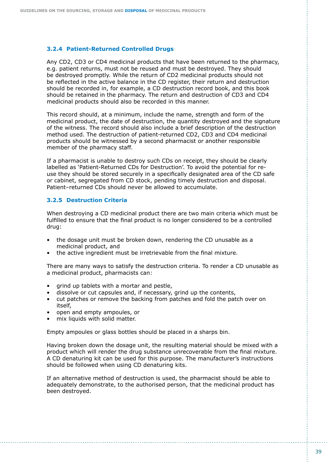#### **3.2.4 Patient-Returned Controlled Drugs**

Any CD2, CD3 or CD4 medicinal products that have been returned to the pharmacy, e.g. patient returns, must not be reused and must be destroyed. They should be destroyed promptly. While the return of CD2 medicinal products should not be reflected in the active balance in the CD register, their return and destruction should be recorded in, for example, a CD destruction record book, and this book should be retained in the pharmacy. The return and destruction of CD3 and CD4 medicinal products should also be recorded in this manner.

This record should, at a minimum, include the name, strength and form of the medicinal product, the date of destruction, the quantity destroyed and the signature of the witness. The record should also include a brief description of the destruction method used. The destruction of patient-returned CD2, CD3 and CD4 medicinal products should be witnessed by a second pharmacist or another responsible member of the pharmacy staff.

If a pharmacist is unable to destroy such CDs on receipt, they should be clearly labelled as 'Patient-Returned CDs for Destruction'. To avoid the potential for reuse they should be stored securely in a specifically designated area of the CD safe or cabinet, segregated from CD stock, pending timely destruction and disposal. Patient–returned CDs should never be allowed to accumulate.

#### **3.2.5 Destruction Criteria**

When destroying a CD medicinal product there are two main criteria which must be fulfilled to ensure that the final product is no longer considered to be a controlled drug:

- the dosage unit must be broken down, rendering the CD unusable as a medicinal product, and
- the active ingredient must be irretrievable from the final mixture.

There are many ways to satisfy the destruction criteria. To render a CD unusable as a medicinal product, pharmacists can:

- grind up tablets with a mortar and pestle,
- dissolve or cut capsules and, if necessary, grind up the contents,
- cut patches or remove the backing from patches and fold the patch over on itself,
- open and empty ampoules, or
- mix liquids with solid matter.

Empty ampoules or glass bottles should be placed in a sharps bin.

Having broken down the dosage unit, the resulting material should be mixed with a product which will render the drug substance unrecoverable from the final mixture. A CD denaturing kit can be used for this purpose. The manufacturer's instructions should be followed when using CD denaturing kits.

If an alternative method of destruction is used, the pharmacist should be able to adequately demonstrate, to the authorised person, that the medicinal product has been destroyed.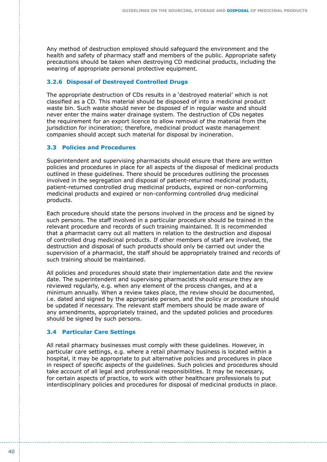Any method of destruction employed should safeguard the environment and the health and safety of pharmacy staff and members of the public. Appropriate safety precautions should be taken when destroying CD medicinal products, including the wearing of appropriate personal protective equipment.

### **3.2.6 Disposal of Destroyed Controlled Drugs**

The appropriate destruction of CDs results in a 'destroyed material' which is not classified as a CD. This material should be disposed of into a medicinal product waste bin. Such waste should never be disposed of in regular waste and should never enter the mains water drainage system. The destruction of CDs negates the requirement for an export licence to allow removal of the material from the jurisdiction for incineration; therefore, medicinal product waste management companies should accept such material for disposal by incineration.

## **3.3 Policies and Procedures**

Superintendent and supervising pharmacists should ensure that there are written policies and procedures in place for all aspects of the disposal of medicinal products outlined in these guidelines. There should be procedures outlining the processes involved in the segregation and disposal of patient-returned medicinal products, patient-returned controlled drug medicinal products, expired or non-conforming medicinal products and expired or non-conforming controlled drug medicinal products.

Each procedure should state the persons involved in the process and be signed by such persons. The staff involved in a particular procedure should be trained in the relevant procedure and records of such training maintained. It is recommended that a pharmacist carry out all matters in relation to the destruction and disposal of controlled drug medicinal products. If other members of staff are involved, the destruction and disposal of such products should only be carried out under the supervision of a pharmacist, the staff should be appropriately trained and records of such training should be maintained.

All policies and procedures should state their implementation date and the review date. The superintendent and supervising pharmacists should ensure they are reviewed regularly, e.g. when any element of the process changes, and at a minimum annually. When a review takes place, the review should be documented, i.e. dated and signed by the appropriate person, and the policy or procedure should be updated if necessary. The relevant staff members should be made aware of any amendments, appropriately trained, and the updated policies and procedures should be signed by such persons.

#### **3.4 Particular Care Settings**

All retail pharmacy businesses must comply with these guidelines. However, in particular care settings, e.g. where a retail pharmacy business is located within a hospital, it may be appropriate to put alternative policies and procedures in place in respect of specific aspects of the guidelines. Such policies and procedures should take account of all legal and professional responsibilities. It may be necessary, for certain aspects of practice, to work with other healthcare professionals to put interdisciplinary policies and procedures for disposal of medicinal products in place.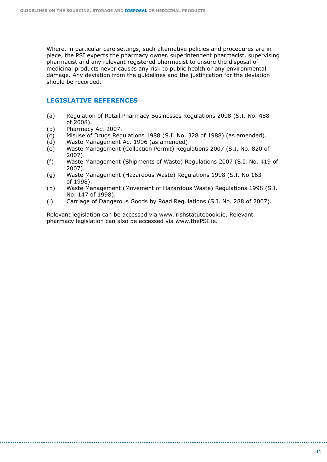Where, in particular care settings, such alternative policies and procedures are in place, the PSI expects the pharmacy owner, superintendent pharmacist, supervising pharmacist and any relevant registered pharmacist to ensure the disposal of medicinal products never causes any risk to public health or any environmental damage. Any deviation from the guidelines and the justification for the deviation should be recorded.

## **LEGISLATIVE REFERENCES**

- (a) Regulation of Retail Pharmacy Businesses Regulations 2008 (S.I. No. 488 of 2008).
- (b) Pharmacy Act 2007.
- (c) Misuse of Drugs Regulations 1988 (S.I. No. 328 of 1988) (as amended).
- (d) Waste Management Act 1996 (as amended).
- (e) Waste Management (Collection Permit) Regulations 2007 (S.I. No. 820 of 2007).
- (f) Waste Management (Shipments of Waste) Regulations 2007 (S.I. No. 419 of 2007).
- (g) Waste Management (Hazardous Waste) Regulations 1998 (S.I. No.163 of 1998).
- (h) Waste Management (Movement of Hazardous Waste) Regulations 1998 (S.I. No. 147 of 1998).
- (i) Carriage of Dangerous Goods by Road Regulations (S.I. No. 288 of 2007).

Relevant legislation can be accessed via www.irishstatutebook.ie. Relevant pharmacy legislation can also be accessed via www.thePSI.ie.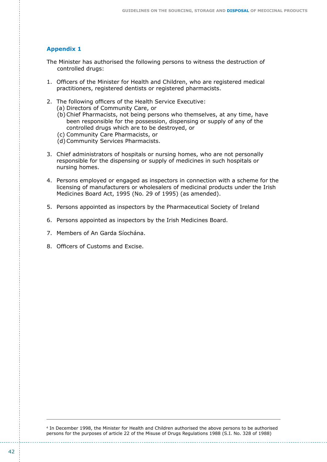#### **Appendix 1**

- The Minister has authorised the following persons to witness the destruction of controlled drugs:
- 1. Officers of the Minister for Health and Children, who are registered medical practitioners, registered dentists or registered pharmacists.
- 2. The following officers of the Health Service Executive:
	- (a) Directors of Community Care, or
	- (b)Chief Pharmacists, not being persons who themselves, at any time, have been responsible for the possession, dispensing or supply of any of the controlled drugs which are to be destroyed, or
	- (c) Community Care Pharmacists, or
	- (d)Community Services Pharmacists.
- 3. Chief administrators of hospitals or nursing homes, who are not personally responsible for the dispensing or supply of medicines in such hospitals or nursing homes.
- 4. Persons employed or engaged as inspectors in connection with a scheme for the licensing of manufacturers or wholesalers of medicinal products under the Irish Medicines Board Act, 1995 (No. 29 of 1995) (as amended).
- 5. Persons appointed as inspectors by the Pharmaceutical Society of Ireland
- 6. Persons appointed as inspectors by the Irish Medicines Board.
- 7. Members of An Garda Síochána.
- 8. Officers of Customs and Excise.

4 In December 1998, the Minister for Health and Children authorised the above persons to be authorised persons for the purposes of article 22 of the Misuse of Drugs Regulations 1988 (S.I. No. 328 of 1988)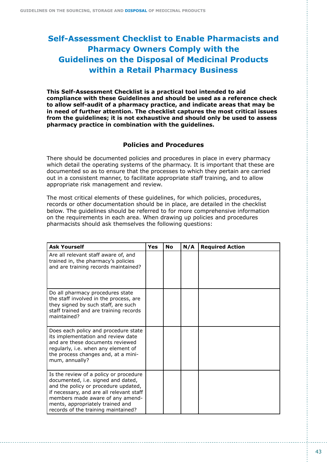# **Self-Assessment Checklist to Enable Pharmacists and Pharmacy Owners Comply with the Guidelines on the Disposal of Medicinal Products within a Retail Pharmacy Business**

**This Self-Assessment Checklist is a practical tool intended to aid compliance with these Guidelines and should be used as a reference check to allow self-audit of a pharmacy practice, and indicate areas that may be in need of further attention. The checklist captures the most critical issues from the guidelines; it is not exhaustive and should only be used to assess pharmacy practice in combination with the guidelines.**

# **Policies and Procedures**

There should be documented policies and procedures in place in every pharmacy which detail the operating systems of the pharmacy. It is important that these are documented so as to ensure that the processes to which they pertain are carried out in a consistent manner, to facilitate appropriate staff training, and to allow appropriate risk management and review.

The most critical elements of these guidelines, for which policies, procedures, records or other documentation should be in place, are detailed in the checklist below. The guidelines should be referred to for more comprehensive information on the requirements in each area. When drawing up policies and procedures pharmacists should ask themselves the following questions:

| <b>Ask Yourself</b>                                                                                                                                                                                                                                                             | <b>Yes</b> | <b>No</b> | N/A | <b>Required Action</b> |
|---------------------------------------------------------------------------------------------------------------------------------------------------------------------------------------------------------------------------------------------------------------------------------|------------|-----------|-----|------------------------|
| Are all relevant staff aware of, and<br>trained in, the pharmacy's policies<br>and are training records maintained?                                                                                                                                                             |            |           |     |                        |
| Do all pharmacy procedures state<br>the staff involved in the process, are<br>they signed by such staff, are such<br>staff trained and are training records<br>maintained?                                                                                                      |            |           |     |                        |
| Does each policy and procedure state<br>its implementation and review date<br>and are these documents reviewed<br>regularly, i.e. when any element of<br>the process changes and, at a mini-<br>mum, annually?                                                                  |            |           |     |                        |
| Is the review of a policy or procedure<br>documented, i.e. signed and dated,<br>and the policy or procedure updated,<br>if necessary, and are all relevant staff<br>members made aware of any amend-<br>ments, appropriately trained and<br>records of the training maintained? |            |           |     |                        |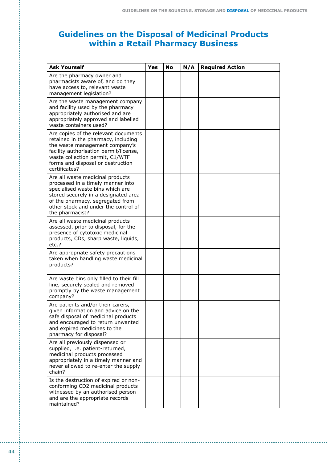# **Guidelines on the Disposal of Medicinal Products within a Retail Pharmacy Business**

| <b>Ask Yourself</b>                                                                                                                                                                                                                              | Yes | <b>No</b> | N/A | <b>Required Action</b> |
|--------------------------------------------------------------------------------------------------------------------------------------------------------------------------------------------------------------------------------------------------|-----|-----------|-----|------------------------|
| Are the pharmacy owner and<br>pharmacists aware of, and do they<br>have access to, relevant waste<br>management legislation?                                                                                                                     |     |           |     |                        |
| Are the waste management company<br>and facility used by the pharmacy<br>appropriately authorised and are<br>appropriately approved and labelled<br>waste containers used?                                                                       |     |           |     |                        |
| Are copies of the relevant documents<br>retained in the pharmacy, including<br>the waste management company's<br>facility authorisation permit/license,<br>waste collection permit, C1/WTF<br>forms and disposal or destruction<br>certificates? |     |           |     |                        |
| Are all waste medicinal products<br>processed in a timely manner into<br>specialised waste bins which are<br>stored securely in a designated area<br>of the pharmacy, segregated from<br>other stock and under the control of<br>the pharmacist? |     |           |     |                        |
| Are all waste medicinal products<br>assessed, prior to disposal, for the<br>presence of cytotoxic medicinal<br>products, CDs, sharp waste, liquids,<br>etc.?                                                                                     |     |           |     |                        |
| Are appropriate safety precautions<br>taken when handling waste medicinal<br>products?                                                                                                                                                           |     |           |     |                        |
| Are waste bins only filled to their fill<br>line, securely sealed and removed<br>promptly by the waste management<br>company?                                                                                                                    |     |           |     |                        |
| Are patients and/or their carers,<br>given information and advice on the<br>safe disposal of medicinal products<br>and encouraged to return unwanted<br>and expired medicines to the<br>pharmacy for disposal?                                   |     |           |     |                        |
| Are all previously dispensed or<br>supplied, i.e. patient-returned,<br>medicinal products processed<br>appropriately in a timely manner and<br>never allowed to re-enter the supply<br>chain?                                                    |     |           |     |                        |
| Is the destruction of expired or non-<br>conforming CD2 medicinal products<br>witnessed by an authorised person<br>and are the appropriate records<br>maintained?                                                                                |     |           |     |                        |